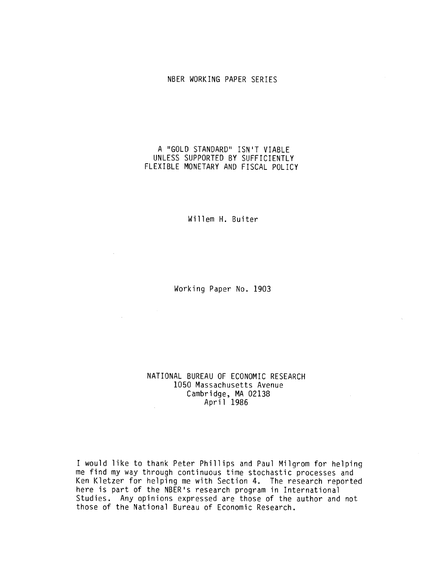### NBER WORKING PAPER SERIES

## A "GOLD STANDARD" ISN'T VIABLE UNLESS SUPPORTED BY SUFFICIENTLY FLEXIBLE MONETARY AND FISCAL POLICY

Willem H. Buiter

Working Paper No. 1903

 $\sim$ 

## NATIONAL BUREAU OF ECONOMIC RESEARCH 1050 Massachusetts Avenue Cambridge, MA 02138 April 1986

I would like to thank Peter Phillips and Paul Milgrom for helping me find my way through continuous time stochastic processes and Ken Kletzer for helping me with Section 4. The research reported here is part of the NBER's research program in International Studies. Any opinions expressed are those of the author and not those of the National Bureau of Economic Research.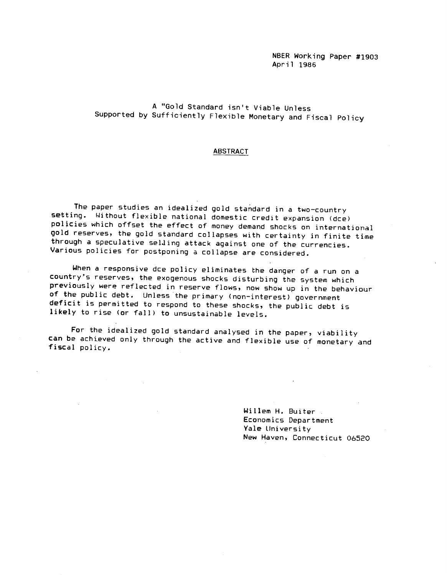NBER Working Paper #1903 April 1986

# A "Gold Standard isn't Viable Unless Supported by Sufficiently Flexible Monetary and Fiscal Policy

#### ABSTRACT

The paper studies an idealized gold standard in a two—country setting. Without flexible national domestic credit expansion (dce) policies which offset the effect of money demand shocks on international gold reserves, the gold standard collapses with certainty in finite time through a speculative selling attack against one of the currencies. Various policies for postponing a collapse are considered.

When a responsive dce policy eliminates the danger of a run on a country's reserves, the exogenous shocks disturbing the system which previously were reflected in reserve flows, now show up in the behaviour of the public debt. Unless the primary (non—interest) government deficit is permitted to respond to these shocks, the public debt is likely to rise (or fall) to unsustainable levels.

For the idealized gold standard analysed in the paper, viability can be achieved only through the active and flexible use of monetary and fiscal policy.

> Willem H. Buiter Economics Department Yale University New Haven, Connecticut 06520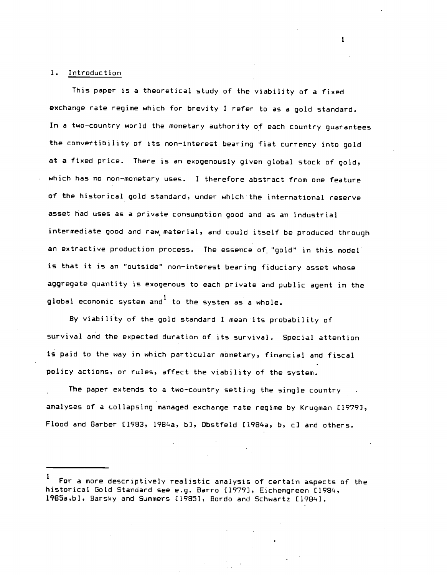#### 1. Introduction

This paper is a theoretical study of the viability of a fixed exchange rate regime which for brevity I refer to as a gold standard. In a two—country world the monetary authority of each country guarantees the convertibility of its non—interest bearing fiat currency into gold at a fixed price. There is an exogenously given global stock of gold, which has no non—monetary uses. I therefore abstract from one feature of the historical gold standard, under which the international reserve asset had uses as a private consumption good and as an industrial intermediate good and raw material, and could itself be produced through an extractive production process. The essence of 'gold' in this model is that it is an "outside" non—interest bearing fiduciary asset whose aggregate quantity is exogenous to each private and public agent in the global economic system and to the system as a whole.

By viability of the gold standard I mean its probability of survival and the expected duration of its survival. Special attention is paid to the way in which particular monetary, financial and fiscal policy actions, or rules, affect the viability of the system.

The paper extends to a two-country setting the single country analyses of a collapsing managed exchange rate regime by Kruqman £1979), Flood and Garber [1983, 1984a, b], Obstfeld [1984a, b, c] and others.

For a more descriptively realistic analysis of certain aspects of the historical Gold Standard see e.g. Barro [1979), Eichengreen [1984, 1985a,b), Barsky and Summers [1985), Bordo and Schwartz £1984).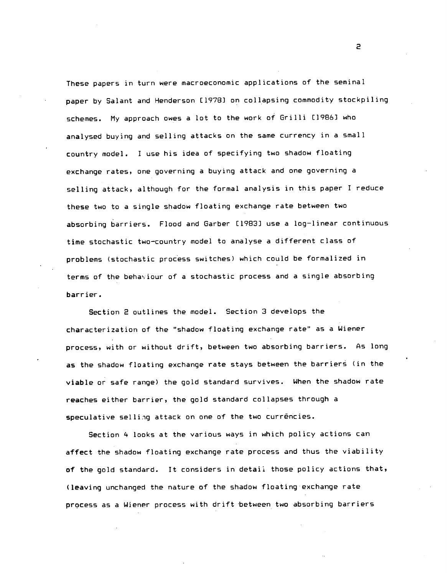These papers in turn were macroeconomic applications of the seminal paper by Salant and Henderson E19781 on collapsing commodity stockpiling schemes. My approach owes a lot to the work of Grilli (1986] who analysed buying and selling attacks on the same currency in a small country model. I use his idea of specifying two shadow floating exchange rates, one governing a buying attack and one governing a selling attack, although for the formal analysis in this paper I reduce these two to a single shadow floating exchange rate between two absorbing barriers. Flood and Garber (1983) use a log—linear continuous time stochastic two—country model to analyse a different class of problems (stochastic process switches) which could be formalized in terms of the behaviour of a stochastic process and a single absorbing barrier.

Section 2 outlines the model. Section 3 develops the characterization of the "shadow floating exchange rate' as a Wiener process, with or without drift, between two absorbing barriers. As long as the shadow floating exchange rate stays between the barriers (in the viable or safe range) the gold standard survives. When the shadow rate reaches either barrier, the gold standard collapses through a speculative selling attack on one of the two currencies.

Section 4 looks at the various ways in which policy actions can affect the shadow floating exchange rate process and thus the viability of the gold standard. It considers in detail those policy actions that, (leaving unchanged the nature of the shadow floating exchange rate process as a Wiener process with drift between two absorbing barriers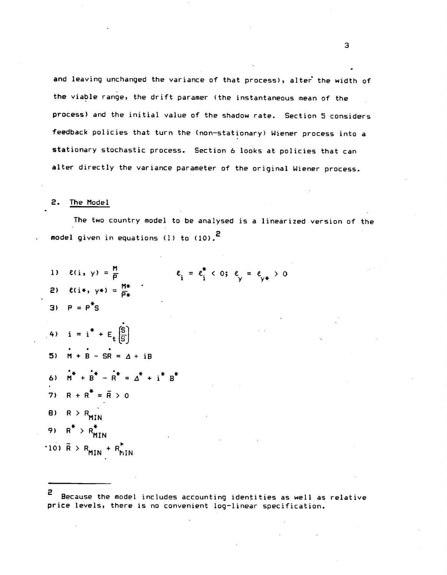and leaving unchanged the variance of that process), alter the width of the viable range, the drift paramer (the instantaneous mean of the process) and the initial value of the shadow rate. Section 5 considers feedback policies that turn the (non—stationary) Wiener process into a stationary stochastic process. Section 6 looks at policies that can alter directly the variance parameter of the original Wiener process.

## 2. The Model

The two country model to be analysed is a linearized version of the model given in equations (1) to (10).<sup>2</sup>

1) 
$$
\ell(i, y) = \frac{M}{p}
$$
  $\ell_i = \ell_i^* < 0; \ell_y = \ell_{y*} > 0$   
\n2)  $\ell(i*, y*) = \frac{M*}{p*}$   
\n3)  $P = P^*S$   
\n4)  $i = i^* + E_t[\overline{S}]$   
\n5)  $M + B - SR = \Delta + iB$   
\n6)  $m^* + b^* - n^* = \Delta^* + i^* B^*$   
\n7)  $R + R^* = \overline{R} > 0$   
\n8)  $R > R_{MIN}$   
\n9)  $R^* > R_{MIN}^*$   
\n10)  $\overline{R} > R_{MIN} + R_{MIN}^*$ 

<sup>2</sup> Because the model includes accounting identities as well as relative price levels, there is no convenient log—linear specification.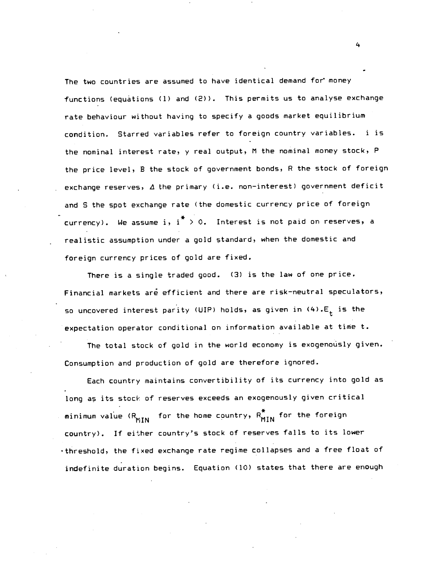The two countries are assumed to have identical demand for money functions (equations (1) and (2)). This permits us to analyse exchange rate behaviour without having to specify a goods market equilibrium condition. Starred variables refer to foreign country variables. i is the nominal interest rate, y real output, M the nominal money stock, P the price level, B the stock of government bonds, R the stock of foreign exchange reserves,  $\Delta$  the primary (i.e. non-interest) government deficit and S the spot exchange rate (the domestic currency price of foreign currency). We assume i,  $i^* > 0$ . Interest is not paid on reserves, a realistic assumption under a gold standard, when the domestic and foreign currency prices of gold are fixed.

There is a single traded good. (3) is the law of one price. Financial markets are efficient and there are risk-neutral speculators, so uncovered interest parity (UIP) holds, as given in  $(4)$ . $E_t$  is the expectation operator conditional on information available at time t.

The total stock of gold in the world economy is exogenously given. Consumption and production of gold are therefore ignored.

Each country maintains convertibility of its currency into gold as long as its stock of reserves exceeds an exogenously given critical minimum value  $(R_{MIN}$  for the home country,  $R_{MIN}^*$  for the foreign country). If either country's stock of reserves falls to its lower threshold, the fixed exchange rate regime collapses and a free float of indefinite duration begins. Equation (10) states that there are enough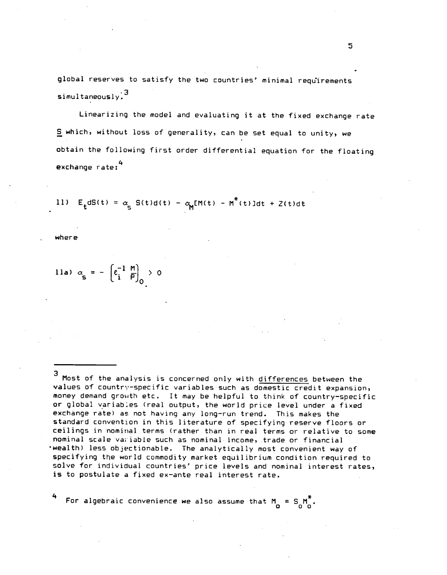global reserves to satisfy the two countries' minimal requirements simultaneously.3

Linearizing the model and evaluating it at the fixed exchange rate S which, without loss of generality, can be set equal to unity, we obtain the following first order differential equation for the floating exchange rate:<sup>4</sup>

11) 
$$
E_t dS(t) = \alpha_s S(t) d(t) - \alpha_M M(t) - M^*(t) \, \text{Id}t + Z(t) \, \text{d}t
$$

where

11a) 
$$
\alpha_{\mathbf{s}} = -\left(e_i^{-1} \frac{\mathsf{M}}{\mathsf{P}}\right)_0 > 0
$$

3 Most of the analysis is concerned only with differences between the values of country-specific variables such as domestic credit expansion, money demand growth etc. It may be helpful to think of country-specific or global variables (real output, the world price level under a fixed exchange rate) as not having any long—run trend. This makes the standard convention in this literature of specifying reserve floors or ceilings in nominal terms (rather than in real terms or relative to some nominal scale variable such as nominal income, trade or financial wealth) less objectionable. The analytically most convenient way of specifying the world commodity market equilibrium condition required to solve for individual countries' price levels and nominal interest rates, is to postulate a fixed ex-ante real interest rate.

For algebraic convenience we also assume that  $M_0 = S_0 M_0^T$ .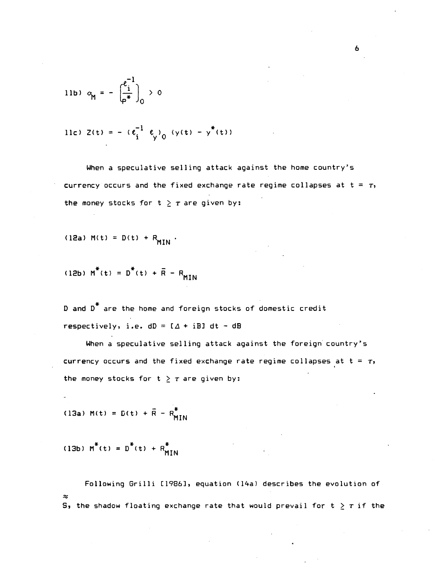11b) 
$$
\alpha_{\mathbf{M}} = -\left(\frac{\varepsilon_1^{-1}}{\varphi^*}\right)_{0} > 0
$$

11c) 
$$
Z(t) = - (e_i^{-1} e_y)_0 (y(t) - y^*(t))
$$

When a speculative selling attack against the home country's currency occurs and the fixed exchange rate regime collapses at  $t = T$ , the money stocks for  $t > \tau$  are given by:

(12a) 
$$
M(t) = D(t) + R_{MIN}
$$

(12b) 
$$
M^*(t) = D^*(t) + \overline{R} - R_{MIN}
$$

D and  $D^*$  are the home and foreign stocks of domestic credit respectively, i.e.  $dD = I\Delta + iBJ dt - dB$ 

When a speculative selling attack against the foreign country's currency occurs and the fixed exchange rate regime collapses at  $t = \tau$ , the money stocks for  $t \geq \tau$  are given by:

(13a) M(t) =  $D(t) + \bar{R} - R_{MTM}^*$ 

(13b)  $M^*(t) = D^*(t) + R^*_{MIN}$ 

Following Grilli [1986], equation (14a) describes the evolution of  $\approx$  S, the shadow floating exchange rate that would prevail for  ${\tt t}\geq \tau$  if the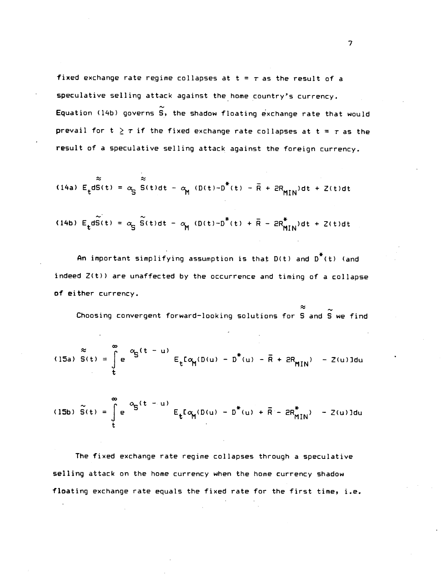fixed exchange rate regime collapses at  $t = r$  as the result of a speculative selling attack against the home country's currency. Equation (l4b) governs S, the shadow floating exchange rate that would prevail for  $t \geq \tau$  if the fixed exchange rate collapses at  $t = \tau$  as the result of a speculative selling attack against the foreign currency.

(14a) 
$$
E_t dS(t) = \alpha_S S(t)dt - \alpha_M (D(t) - D^*(t) - \overline{R} + 2R_{MIN})dt + Z(t)dt
$$

(14b) 
$$
E_t d\tilde{S}(t) = \alpha_S \tilde{S}(t)dt - \alpha_M (D(t) - D^*(t) + \bar{R} - 2R^*_{MIN})dt + 2(t)dt
$$

An important simplifying assumption is that  $D(t)$  and  $D^*(t)$  (and indeed Z(t)) are unaffected by the occurrence and timing of a collapse of either currency.

Choosing convergent forward—looking solutions for S and S we find

(15a) 
$$
S(t) = \int_{t}^{\infty} e^{-\alpha} S^{(t-\mu)} E_t[\alpha_M(D(u) - D^*(u) - R + 2R_{MIN}) - 2(u)]du
$$

(15b) 
$$
\tilde{S}(t) = \int_{t}^{\infty} e^{-\alpha} S^{(t-\mu)} E_t[\alpha_M(D(u) - D^*(u) + \bar{R} - 2R^*_{MIN}) - 2(u)]du
$$

The fixed exchange rate regime collapses through a speculative selling attack on the home currency when the home currency shadow floating exchange rate equals the fixed rate for the first time, i.e.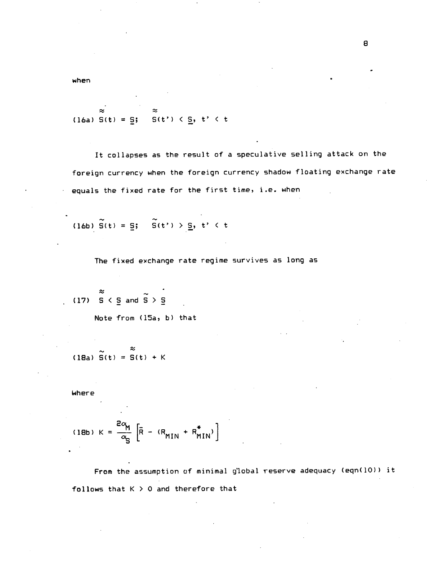when

$$
\approx \approx
$$
 (16a) S(t) =  $\underline{S}$ ; S(t')  $\leq \underline{S}$ , t' < t

It collapses as the result of a speculative selling attack on the foreign currency when the foreign currency shadow floating exchange rate equals the fixed rate for the first time, i.e. when

(16b)  $\widetilde{S}(t) = \underline{S}$ ;  $\widetilde{S}(t') > \underline{S}$ ,  $t' < t$ 

The fixed exchange rate regime survives as long as

(17)  $\frac{8}{5}$  < 5 and  $\frac{6}{5}$  > 5

Note from (15a, b) that

$$
\begin{array}{c}\n \sim \\
\sim \\
\text{(18a)}\ \widetilde{S}(t) = S(t) + K\n \end{array}
$$

Where

(18b) 
$$
K = \frac{2\alpha_{M}}{\alpha_{S}} \left[ \overline{R} - (R_{MIN} + R_{MIN}^{*}) \right]
$$

From the assumption of minimal global reserve adequacy (eqn(lO)) it follows that  $K > 0$  and therefore that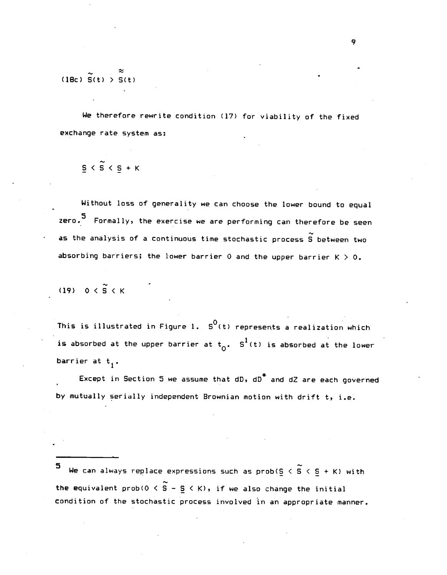(18c)  $\widetilde{S}(t) > \widetilde{S}(t)$ 

We therefore rewrite condition (17) for viability of the fixed exchange rate system as:

 $5 < \widetilde{S} < S + K$ 

Without loss of generality we can choose the lower bound to equal zero.<sup>5</sup> Formally, the exercise we are performing can therefore be seen as the analysis of a continuous time stochastic process  $S$  between two absorbing barriers; the lower barrier 0 and the upper barrier  $K > 0$ .

(19)  $0 < \widetilde{S} < K$ 

This is illustrated in Figure 1.  $S^0(t)$  represents a realization which is absorbed at the upper barrier at  $t_0$ . S<sup>1</sup>(t) is absorbed at the lower barrier at  $t_1$ .

Except in Section 5 we assume that  $dD$ ,  $dD^*$  and  $dZ$  are each governed by mutually serially independent Brownian motion with drift t, i.e.

5 We can always replace expressions such as  $\text{prob}(S \subset S \subset S + K)$  with the equivalent prob( $0 \leq \widetilde{S}$  -  $\underline{S} \leq K$ ), if we also change the initial condition of the stochastic process involved in an appropriate manner.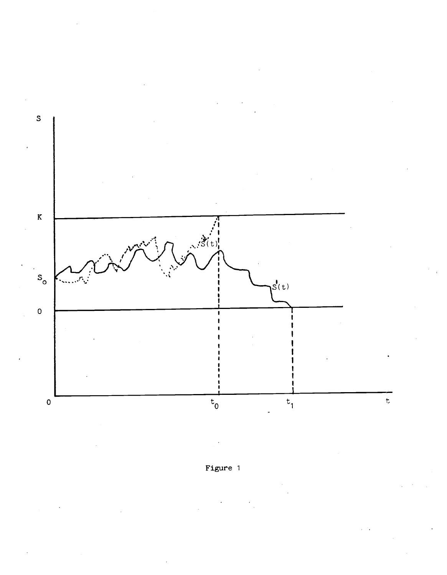

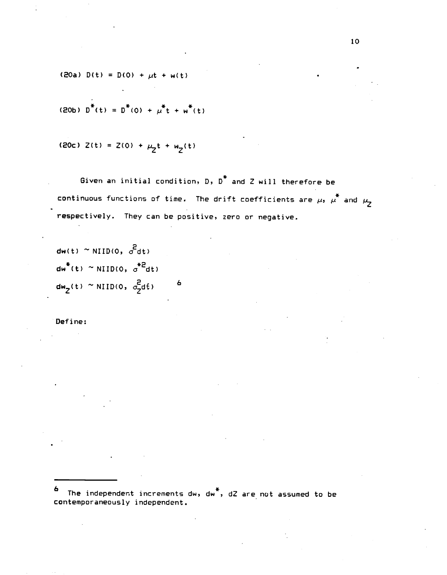(20a)  $D(t) = D(0) + \mu t + w(t)$ 

(20b) 
$$
D^*(t) = D^*(0) + \mu^*t + \omega^*(t)
$$

(20c) 
$$
2(t) = 2(0) + \mu_2 t + w_2(t)
$$

Given an initial condition, D, D\* and Z will therefore be continuous functions of time. The drift coefficients are  $\mu$ ,  $\mu^*$  and  $\mu$ respectively. They can be positive, zero or negative.

 $dw(t) \approx NIID(0, \sigma^2 dt)$  $dw^*(t) \sim \text{NIID}(0, \sigma^{*2}dt)$  $dw_2(t) \sim \text{NIID}(0, \frac{2}{3}dt)$  6

Define:

6 The independent increments dw, dw\*, dZ are not assumed to be contemporaneously independent.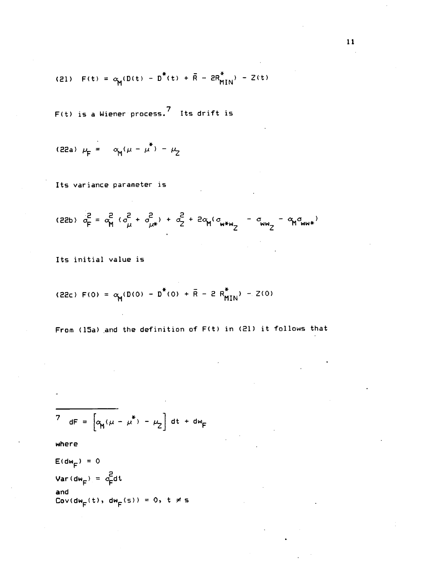(21) 
$$
F(t) = \alpha_M(D(t) - D^*(t) + \bar{R} - 2R_{MIN}^*) - Z(t)
$$

F(t) is a Wiener process.7 Its drift is

(22a) 
$$
\mu_F = \alpha_M (\mu - \mu^*) - \mu_Z
$$

Its variance parameter is

(22b) 
$$
\sigma_F^2 = \sigma_M^2 (\sigma_\mu^2 + \sigma_{\mu*}^2) + \sigma_Z^2 + 2\sigma_M (\sigma_{m*w_Z} - \sigma_{ww_Z} - \sigma_{M} \sigma_{ww*})
$$

Its initial value is

(22c) 
$$
F(0) = \alpha_M(D(0) - D^*(0) + \bar{R} - 2 R_{MIN}^*) - 2(0)
$$

From (15a) and the definition of F(t) in (21) it follows that

$$
7 \text{ dF} = \left[ \alpha_{\mathbf{M}} (\mu - \mu^*) - \mu_2 \right] dt + dw_F
$$

where

 $E(dw_F) = 0$  $Var(dw_F) = \frac{2}{c_F}dt$ and  $\text{Cov}(\text{dw}_{F}(t), \text{dw}_{F}(s)) = 0, t \neq s$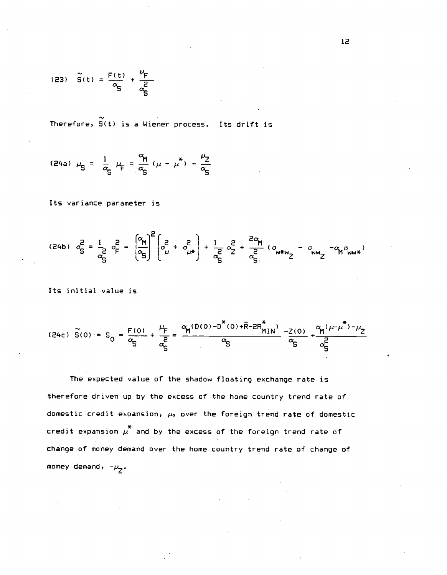(23) 
$$
\tilde{S}(t) = \frac{F(t)}{\alpha_{S}} + \frac{\mu_{F}}{\alpha_{S}^{2}}
$$

Therefore,  $\tilde{S}(t)$  is a Wiener process. Its drift is

(24a) 
$$
\mu_S = \frac{1}{\alpha_S} \mu_F = \frac{\alpha_M}{\alpha_S} (\mu - \mu^*) - \frac{\mu_Z}{\alpha_S}
$$

Its variance parameter is

$$
(24b) \quad \sigma_S^2 = \frac{1}{c_S^2} \quad \sigma_F^2 = \left(\frac{\alpha_{\text{M}}}{c_S}\right)^2 \left(\sigma_{\mu}^2 + \sigma_{\mu}^2\right) + \frac{1}{c_S^2} \quad \sigma_Z^2 + \frac{2\alpha_{\text{M}}}{c_S^2} \quad (\sigma_{\text{m}*\text{w}} - \sigma_{\text{w}*\text{w}} - \sigma_{\text{w}*\text{w}} - \sigma_{\text{w}*\text{w}} - \sigma_{\text{w}*\text{w}})
$$

Its initial value is

(24c) 
$$
\tilde{S}(0) = S_0 = \frac{F(0)}{\alpha_S} + \frac{\mu_F}{\alpha_S^2} = \frac{\alpha_N (D(0) - D^*(0) + \overline{R} - 2R_{MIN}^*)}{\alpha_S} - \frac{2(0)}{\alpha_S} + \frac{\alpha_N (\mu + \mu^*) - \mu_Z}{\alpha_S^2}
$$

The expected value of the shadow floating exchange rate is therefore driven up by the excess of the home country trend rate of domestic credit expansion,  $\mu$ , over the foreign trend rate of domestic credit expansion  $\mu^*$  and by the excess of the foreign trend rate of change of money demand over the home country trend rate of change of money demand,  $-\mu_{Z}$ .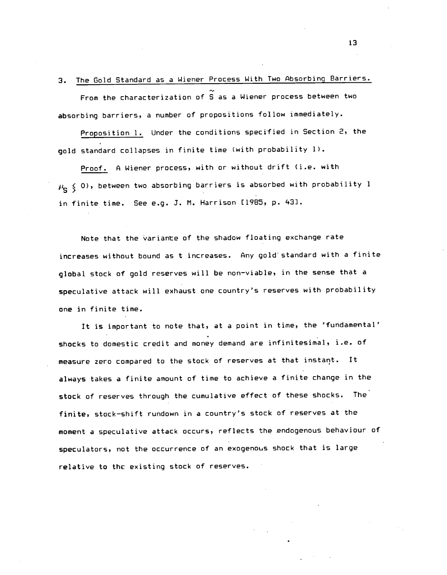3. The Gold Standard as a Wiener Process With Two Absorbing Barriers. From the characterization of S as a Wiener process between two absorbing barriers, a number of propositions follow immediately.

Proposition 1. Under the conditions specified in Section 2, the gold standard collapses in finite time (with probability 1).

Proof. A Wiener process, with or without drift (i.e. with  $\mu_{\bf q}$   $\leqslant$  0), between two absorbing barriers is absorbed with probability l in finite time. See e.g. 3. M. Harrison [1985, p. 43].

Note that the variante of the shadow floating exchange rate increases without bound as t increases. Any gold standard with a finite global stock of gold reserves will be non—viable, in the sense that a speculative attack will exhaust one country's reserves with probability one in finite time.

It is important to note that, at a point in time, the 'fundamental' shocks to domestic credit and money demand are infinitesimal, i.e. of measure zero compared to the stock of reserves at that instart. It always takes a finite amount of time to achieve a finite change in the stock of reserves through the cumulative effect of these shocks. The finite, stock—shift rundown in a country's stock of reserves at the moment a speculative attack occurs, reflects the endogenous behaviour of speculators, not the occurrence of an exogenous shock that is large relative to thc existing stock of reserves.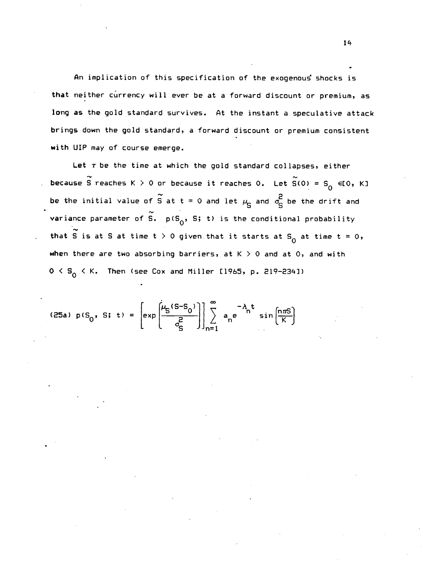An implication of this specification of the exogenous shocks is that neither currency will ever be at a forward discount or premium, as long as the gold standard survives. At the instant a speculative attack brings down the gold standard, a forward discount or premium consistent with UIP may of course emerge.

Let  $\tau$  be the time at which the gold standard collapses, either because S reaches K  $> 0$  or because it reaches 0. Let  $\widetilde{S}(0) = S_0 \in [0, K]$ be the initial value of  $\widetilde{S}$  at t = 0 and let  $\mu_S$  and  $\sigma_S^2$  be the drift and variance parameter of  $\widetilde{S}$ .  $p(S_0, S; t)$  is the conditional probability that  $\widetilde{S}$  is at S at time t > 0 given that it starts at S<sub>0</sub> at time t = 0, when there are two absorbing barriers, at  $K > 0$  and at 0, and with  $0 < S_0 < K$ . Then (see Cox and Miller 11965, p. 219-2341)

(25a) 
$$
p(S_0, S; t) = \left[ exp \left( \frac{\mu_S (S - S_0)}{g} \right) \right] \sum_{n=1}^{\infty} a_n e^{-\lambda_n t} sin \left( \frac{n \pi S}{K} \right)
$$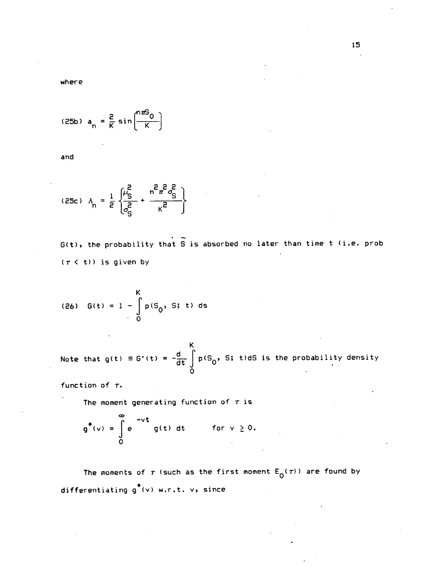where

$$
(25b) a_n = \frac{2}{K} \sin\left(\frac{n\pi G_0}{K}\right)
$$

and

(25c) 
$$
\lambda_n = \frac{1}{2} \left\{ \frac{\mu_S^2}{\sigma_S^2} + \frac{n^2 \pi^2 \sigma_S^2}{\kappa^2} \right\}
$$

 $G(t)$ , the probability that  $\widetilde{S}$  is absorbed no later than time t (i.e. prob  $(\tau \leq t))$  is given by

(26) 
$$
G(t) = 1 - \int_{0}^{K} p(S_0, S; t) ds
$$

Note that g(t) = G'(t) =  $-\frac{d}{dt}\int_{0}^{K}p(S_0, S; t) dS$  is the probability density

function of  $\tau$ .

 $\sim$ 

The moment generating function of  $\tau$  is

$$
g^{\ast}(v) = \int_{0}^{\infty} e^{-vt} g(t) dt \quad \text{for } v \ge 0.
$$

The moments of  $\tau$  (such as the first moment  $E_0(\tau)$ ) are found by differentiating g\*(v) w.r.t. v, since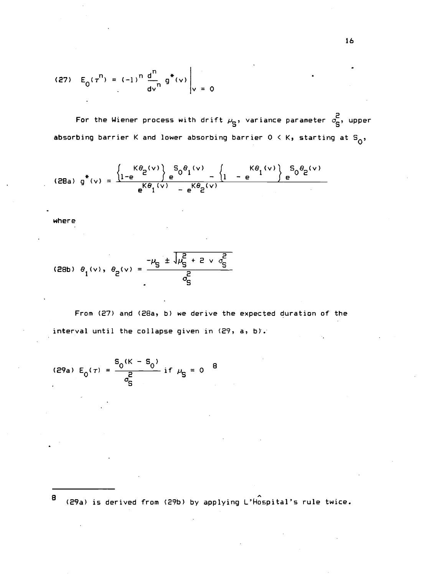(27) 
$$
E_0(\tau^n) = (-1)^n \frac{d^n}{d\nu^n} g^*(v) \bigg|_{v = 0}
$$

For the Wiener process with drift  $\mu_{\overline{S}}$ , variance parameter  $\sigma_{\overline{S}}^2$ , upper absorbing barrier K and lower absorbing barrier  $0 \lt K$ , starting at  $S_0$ ,

$$
(28a) g^*(v) = \frac{\left\{1 - e^{-\beta_0} e^{(v)}\right\} e^{-\beta_0} e^{(v)} - \left\{1 - e^{-\beta_0} e^{(v)}\right\} e^{-\beta_0} e^{(v)} - \left[1 - e^{-\beta_0} e^{(v)}\right] e^{-\beta_0} e^{(v)} - \left[1 - e^{-\beta_0} e^{(v)}\right] e^{-\beta_0} e^{(v)} - \left[1 - e^{-\beta_0} e^{(v)}\right] e^{-\beta_0} e^{(v)} - \left[1 - e^{-\beta_0} e^{(v)}\right] e^{-\beta_0} e^{(v)} - \left[1 - e^{-\beta_0} e^{(v)}\right] e^{-\beta_0} e^{(v)} - \left[1 - e^{-\beta_0} e^{(v)}\right] e^{-\beta_0} e^{(v)} - \left[1 - e^{-\beta_0} e^{(v)}\right] e^{(v)} - \left[1 - e^{-\beta_0} e^{(v)}\right] e^{(v)} - \left[1 - e^{-\beta_0} e^{(v)}\right] e^{(v)} - \left[1 - e^{-\beta_0} e^{(v)}\right] e^{(v)} - \left[1 - e^{-\beta_0} e^{(v)}\right] e^{(v)} - \left[1 - e^{-\beta_0} e^{(v)}\right] e^{(v)} - \left[1 - e^{-\beta_0} e^{(v)}\right] e^{(v)} - \left[1 - e^{-\beta_0} e^{(v)}\right] e^{(v)} - \left[1 - e^{-\beta_0} e^{(v)}\right] e^{(v)} - \left[1 - e^{-\beta_0} e^{(v)}\right] e^{(v)} - \left[1 - e^{-\beta_0} e^{(v)}\right] e^{(v)} - \left[1 - e^{-\beta_0} e^{(v)}\right] e^{(v)} - \left[1 - e^{-\beta_0} e^{(v)}\right] e^{(v)} - \left[1 - e^{-\beta_0} e^{(v)}\right] e^{(v)} - \left[1 - e^{-\beta_0} e^{(v)}\right] e^{(v)} - \left[1 - e^{-\beta_0} e^{(v)}\right] e^{(v)} - \left[1 - e^{-\beta_0} e^{(v)}\right] e^{(v)} - \left[1 - e^{-\beta_0} e^{(v)}\right] e^{(v)} - \left[1 - e^{-\beta_0
$$

where

(28b) 
$$
\theta_1(v)
$$
,  $\theta_2(v) = \frac{-\mu_S \pm \sqrt{\mu_S^2 + 2 v \theta_S^2}}{\sigma_S^2}$ 

From (27) and (28a, b) we derive the expected duration of the interval until the collapse given in (29, a, b).

(29a) 
$$
E_0(\tau) = \frac{S_0(K - S_0)}{\sigma_S^2}
$$
 if  $\mu_S = 0$ 

8 (29a) is derived from (29b) by applying L'-4ospital's rule twice.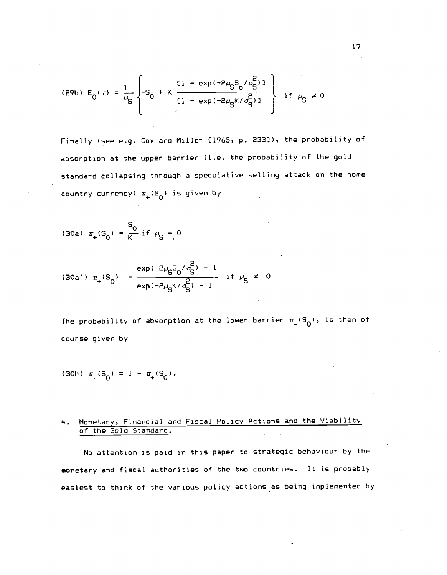(29b) 
$$
E_0(\tau) = \frac{1}{\mu_S} \left\{ -S_0 + K \frac{\left[1 - \exp(-2\mu_S S_0 / \sigma_S^2) \right]}{\left[1 - \exp(-2\mu_S K / \sigma_S^2) \right]} \right\}
$$
 if  $\mu_S \neq 0$ 

Finally (see e.g. Cox and Miller [1965, p. 233]), the probability of absorption at the upper barrier (i.e. the probability of the gold standard collapsing through a speculative selling attack on the home country currency)  $\pi_+(S_0)$  is given by

(30a) 
$$
\pi_+(S_0) = \frac{S_0}{K}
$$
 if  $\mu_S = 0$ 

$$
(30a') \pi_{+}(S_0) = \frac{\exp(-2\mu_S S_0/\sigma_S^2) - 1}{\exp(-2\mu_S K/\sigma_S^2) - 1} \text{ if } \mu_S \neq 0
$$

The probability of absorption at the lower barrier  $\pi_{-}(S_{0})$ , is then of course given by

$$
(30b) \ \pi_{-}(S_0) = 1 - \pi_{+}(S_0).
$$

# 4. Monetary, Financial and Fiscal Policy Actions and the Viability of the Gold Standard.

No attention is paid in this paper to strategic behaviour by the monetary and fiscal authorities of the two countries. It is probably easiest to think of the various policy actions as being implemented by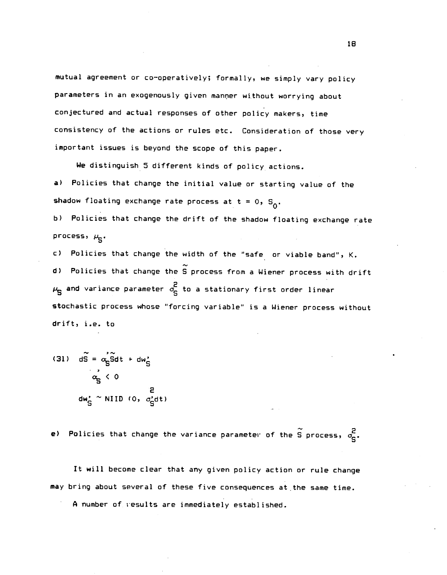mutual agreement or co—operatively; formally, we simply vary policy parameters in an exogenously given manner without worrying about conjectured and actual responses of other policy makers, time consistency of the actions or rules etc. Consideration of those very important issues is beyond the scope of this paper.

We distinguish 5 different kinds of policy actions.

a> Policies that change the initial value or starting value of the shadow floating exchange rate process at  $t = 0$ ,  $S_0$ .

b) Policies that change the drift of the shadow floating exchange rate process,  $\mu_{\mathbf{c}}$ .

C) Policies that change the width of the "safe or viable band", K.  $d$ ) Policies that change the  $\widetilde{S}$  process from a Wiener process with drift  $\mu_{\rm S}$  and variance parameter  $\sigma_{\rm S}^2$  to a stationary first order linear stochastic process whose "forcing variable" is a Wiener process without drift, i.e. to

(31) 
$$
d\tilde{S} = \alpha_S \tilde{S} dt + d\omega_S
$$

$$
\alpha_S' \le 0
$$

$$
d\omega_S' \approx \text{NIID} \ (0, \ \sigma_S' dt)
$$

e) Policies that change the variance parameter of the  $\widetilde{S}$  process,  $\sigma_{\mathbf{c}}^2$ .

It will become clear that any given policy action or rule change may bring about several of these five consequences at the same time. A number of results are immediately established.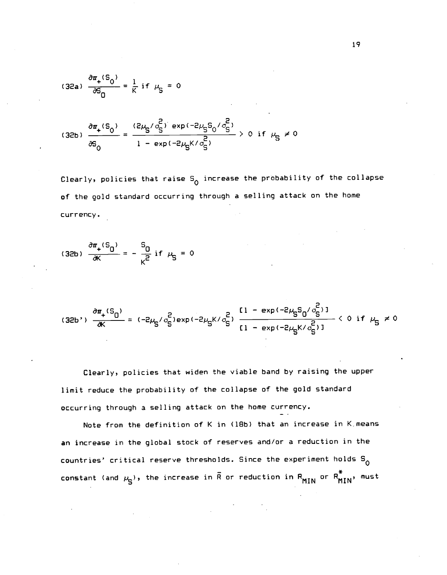(32a) 
$$
\frac{\partial \pi_+ (S_0)}{\partial S_0} = \frac{1}{K} \text{ if } \mu_S = 0
$$

(32b) 
$$
\frac{\partial \pi_+(S_0)}{\partial S_0} = \frac{(2\mu_S/\sigma_S^2) \exp(-2\mu_S S_0/\sigma_S^2)}{1 - \exp(-2\mu_S K/\sigma_S^2)} > 0 \text{ if } \mu_S \neq 0
$$

Clearly, policies that raise  $S_0$  increase the probability of the collapse of the gold standard occurring throuqh a selling attack on the home currency.

(32b) 
$$
\frac{\partial \pi_+ (S_0)}{\partial K} = - \frac{S_0}{K^2} \text{ if } \mu_S = 0
$$

$$
(32b')\frac{\partial \pi_+(S_0)}{\partial K} = (-2\mu_S/\sigma_S^2) \exp(-2\mu_S K/\sigma_S^2) \frac{\left[1 - \exp(-2\mu_S S_0/\sigma_S^2)\right]}{\left[1 - \exp(-2\mu_S K/\sigma_S^2)\right]} < 0 \text{ if } \mu_S \neq 0
$$

Clearly, policies that widen the viable band by raising the upper limit reduce the probability of the collapse of the gold standard occurring through a selling attack on the home currency.

Note from the definition of K in (18b) that an increase in K means an increase in the global stock of reserves and/or a reduction in the countries' critical reserve thresholds. Since the experiment holds  $S^0$ constant (and  $\mu_{\rm S}$ ), the increase in  $\bar{\mathrm{R}}$  or reduction in  $\mathrm{R_{MIN}}$  or  $\mathrm{R_{MIN}^*}$ , must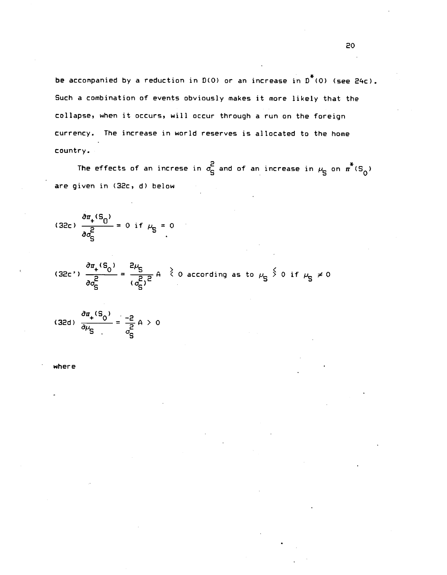be accompanied by a reduction in  $D(0)$  or an increase in  $D^*(0)$  (see 24c). Such a combination of events obviously makes it more likely that the collapse, when it occurs, will occur through a run on the foreign currency. The increase in world reserves is allocated to the home country.

The effects of an increse in  $\sigma_S^2$  and of an increase in  $\mu_S$  on  $\pi^*(S^0)$ are given in (32c, d) below

(32c) 
$$
\frac{\partial \pi_+(S_0)}{\partial \sigma_S^2} = 0 \text{ if } \mu_S = 0
$$

(32c')  $\frac{\partial \pi_+(S_0)}{\partial \sigma_S^2} = \frac{2\mu_S}{(\sigma_S^2)^2}$  A  $\geq 0$  according as to  $\mu_S \stackrel{\leq}{>} 0$  if  $\mu_S \neq 0$ 

(32d)  $\frac{\partial u_+ \cdot 3_0}{\partial \mu_c} = \frac{-2}{c^2} A > 0$ TS and the second second second second second second second second second second second second second second s

where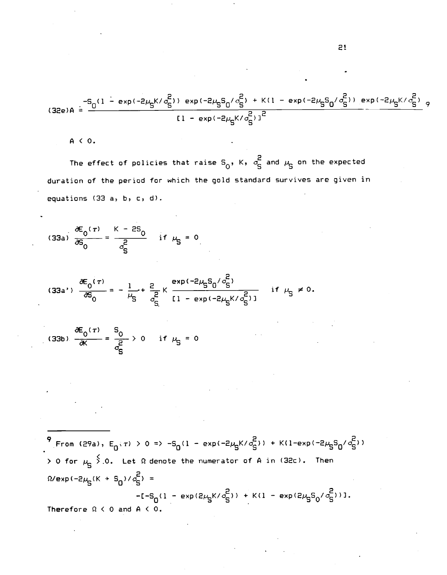$$
(32e) A = \frac{-S_0(1 - exp(-2\mu_S K/\sigma_S^2)) exp(-2\mu_S S_0/\sigma_S^2) + K(1 - exp(-2\mu_S S_0/\sigma_S^2)) exp(-2\mu_S K/\sigma_S^2)}{[1 - exp(-2\mu_S K/\sigma_S^2)]^2} \tag{32e) A = \frac{-S_0(1 - exp(-2\mu_S K/\sigma_S^2)) exp(-2\mu_S K/\sigma_S^2)}{[1 - exp(-2\mu_S K/\sigma_S^2)]^2} \approx 1 - \frac{1}{2} \frac{1}{2} \frac{1}{2} \frac{1}{2} \frac{1}{2}
$$

A < 0.

The effect of policies that raise  $S_{\alpha}$ , K,  $\sigma_{\alpha}^{2}$  and  $\mu_{\alpha}$  on the expected duration of the period for which the gold standard survives are given in equations (33 a, b, c, d).

(33a) 
$$
\frac{\partial E_0(\tau)}{\partial S_0} = \frac{K - 2S_0}{\sigma_S^2} \quad \text{if } \mu_S = 0
$$

$$
(33a') \frac{\partial E_0(\tau)}{\partial S_0} = -\frac{1}{\mu_S} + \frac{2}{\sigma_S^2} K \frac{\exp(-2\mu_S S_0/\sigma_S^2)}{[1 - \exp(-2\mu_S K/\sigma_S^2)]} \quad \text{if } \mu_S \neq 0.
$$

(33b) 
$$
\frac{\partial E_0(\tau)}{\partial K} = \frac{S_0}{\frac{\partial}{\partial S}} > 0
$$
 if  $\mu_S = 0$ 

 $\frac{9}{15}$  From (29a),  $E_0(\tau) > 0 \Rightarrow -S_0(1 - \exp(-2\mu_S K/\sigma_S^2)) + K(1 - \exp(-2\mu_S S_0/\sigma_S^2))$  $>$  0 for  $\mu_S \stackrel{\textstyle <}{\textstyle\searrow}$  0. Let  $\Omega$  denote the numerator of A in (32c). Then  $\Omega$ /exp(-2 $\mu_S$ (K + S<sub>0</sub>)/ $\sigma_S^2$ ) =  $-1 - S_0(1 - \exp(2\mu_S K/\sigma_S^2)) + K(1 - \exp(2\mu_S S_0/\sigma_S^2))1.$ Therefore  $\Omega$  < 0 and A < 0.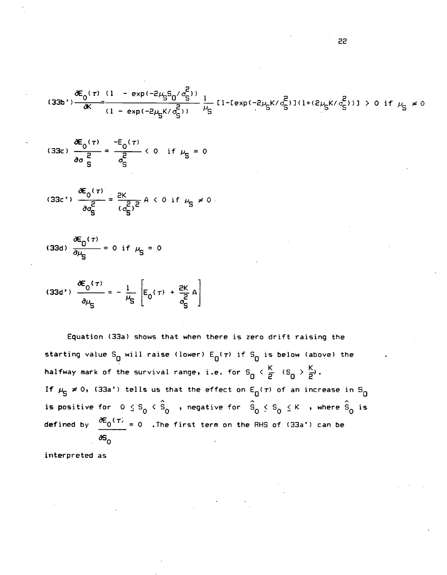$$
(33b')\frac{\partial E_0(\tau)}{\partial K} = \frac{(1 - \exp(-2\mu_S S_0/\sigma_S^2))}{(1 - \exp(-2\mu_S K/\sigma_S^2))} \frac{1}{\mu_S} [1 - \exp(-2\mu_S K/\sigma_S^2)](1 + (2\mu_S K/\sigma_S^2))] > 0 \text{ if } \mu_S \neq 0
$$

(33c) 
$$
\frac{\partial E_0(\tau)}{\partial \sigma_S^2} = \frac{-E_0(\tau)}{\sigma_S^2} < 0 \text{ if } \mu_S = 0
$$

$$
(33c') \frac{\partial E_0(\tau)}{\partial \sigma_S^2} = \frac{2K}{(\sigma_S^2)^2} A \le 0 \text{ if } \mu_S \ne 0
$$

(33d) 
$$
\frac{\partial E_0(\tau)}{\partial \mu_S} = 0
$$
 if  $\mu_S = 0$ 

(33d') 
$$
\frac{\partial E_0(\tau)}{\partial \mu_S} = -\frac{1}{\mu_S} \left[ E_0(\tau) + \frac{2K}{\sigma_S^2} A \right]
$$

Equation (33a) shows that when there is zero drift raising the starting value S<sub>O</sub> will raise (lower)  $E_0(\tau)$  if S<sub>O</sub> is below (above) the halfway mark of the survival range, i.e. for  $S_0 \leftarrow \frac{K}{2} \leftarrow (S_0 \rightarrow \frac{K}{2})$ . If  $\mu_S \neq 0$ , (33a') tells us that the effect on  $E_0(\tau)$  of an increase in  $S_0$ is positive for  $0 \leq s_0 < \hat{s}_0$  , negative for  $\hat{s}_0 \leq s_0 \leq K$  , where  $\hat{s}_0$  is defined by  $\frac{\partial E_0(\tau)}{\partial t} = 0$  . The first term on the RHS of (33a') can be  $\delta S_{\Omega}$ 

interpreted as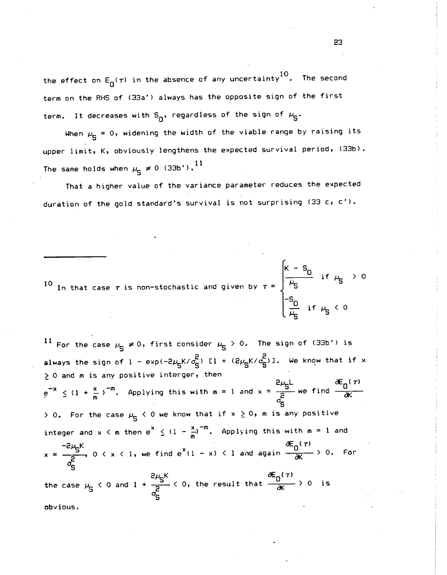the effect on E<sub>o</sub>( $\tau$ ) in the absence of any uncertainty<sup>10</sup>. The second term on the RHS of (33a') always has the opposite sign of the first term. It decreases with  $S_{\Omega}$ , regardless of the sign of  $\mu_{\overline{S}}$ .

When  $\mu_{\overline{6}} = 0$ , widening the width of the viable range by raising its upper limit, K, obviously lengthens the expected survival period, (33b). The same holds when  $\mu_{\textrm{S}}\neq$  0 (33b').<sup>11</sup>

That a higher value of the variance parameter reduces the expected duration of the gold standard's survival is not surprising  $(33 c, c')$ .

10 In that case  $\tau$  is pop-stochastic and given by  $\tau = \begin{bmatrix} 1 & -0 \\ \mu_s & \mu_s \end{bmatrix}$  if  $\mu_s > 0$ In that case  $\tau$  is non-stochastic and given by  $\tau$  =  $\int$   $\mu_{\mathsf{S}}$  $\mu_{\mathbf{S}}$  < 0

<sup>11</sup> For the case  $\mu_{\overline{S}} \neq 0$ , first consider  $\mu_{\overline{S}} > 0$ . The sign of (33b') is always the sign of  $1 - \exp(-2\mu_S K/\sigma_S^2)$   $\Gamma 1 + (2\mu_S K/\sigma_S^2)$ ]. We know that if x > 0 and m is any positive interger, then  $2\mu_{5}$   $\mu_{6}$   $\sigma_{1}$   $\sigma_{2}$  $e^{-x} \leq (1 + \frac{x}{m})^{-m}$ . Applying this with  $m = 1$  and  $x = \frac{5}{2}$  we find  $\frac{0}{\partial x}$ TS and the set  $> 0$ . For the case  $\mu_{\overline{G}} < 0$  we know that if  $x \ge 0$ , m is any positive integer and x < m then  $e^{x} \leq (1 - \frac{x}{m})^{-m}$ . Applying this with m = 1 and  $-5$ <sup>6</sup> $\sim$   $\sim$   $\sim$   $\sim$  $\partial E_{\alpha}(\tau)$  $x = \frac{-15}{2}$ ,  $0 \lt x \lt 1$ , we find  $e^{x}(1 - x) \lt 1$  and again  $\frac{0}{-000} > 0$ . For as and the set of  $\mathbf{S}$ the case  $\mu_S < 0$  and  $1 + \frac{E\mu_{S}R}{2} < 0$ , the result that  $\frac{E\mu_{D}R}{dK} > 0$  is as and the second second second second second second second second second second second second second second s

obvious.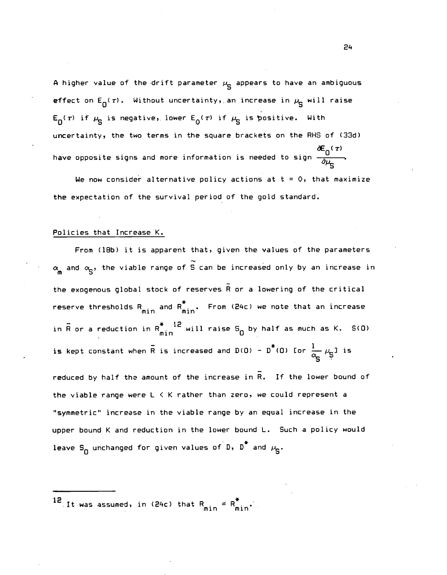A higher value of the drift parameter  $\mu_{\mathbf{q}}$  appears to have an ambiguous effect on  $E_n(\tau)$ . Without uncertainty, an increase in  $\mu_{\mathbf{q}}$  will raise  $E_n(\tau)$  if  $\mu_n$  is negative, lower  $E_0(\tau)$  if  $\mu_n$  is positive. With uncertainty, the two terms in the square brackets on the RHS of (33d)  $\tau$ ) and  $\tau$ have opposite signs and more information is needed to sign  $-\frac{1}{2}$ .

We now consider alternative policy actions at  $t = 0$ , that maximize the expectation of the survival period of the gold standard.

### Policies that Increase K.

From (18b) it is apparent that, given the values of the parameters  $\alpha_{\bf g}$  and  $\alpha_{\bf g}$ , the viable range of  $\stackrel{\sim}{{\rm S}}$  can be increased only by an increase in the exogenous global stock of reserves  $\overline{R}$  or a lowering of the critical reserve thresholds  $R_{min}$  and  $R_{min}^{\circ}$ . From (24c) we note that an increase in  $\bar{\mathsf{R}}$  or a reduction in  $\mathsf{R}_{\mathsf{min}}^*$   $\overset{\textup{12}}{\quad}$  will raise  $\mathsf{s}_0$  by half as much as K.  $\,$  S(O) is kept constant when R is increased and D(O) -  $D^*(0)$  for  $\frac{1}{\alpha_{\text{c}}} \mu_{\text{S}}$ ] is

reduced by half the amount of the increase in R. If the lower bound of the viable range were L < K rather than zero, we could represent a "symmetric" increase in the viable range by an equal increase in the upper bound K and reduction in the lower bound L. Such a policy would leave S<sub>n</sub> unchanged for given values of D,  $D^*$  and  $\mu_S$ .

12 It was assumed, in (24c) that  $R_{min} = R_{min}^*$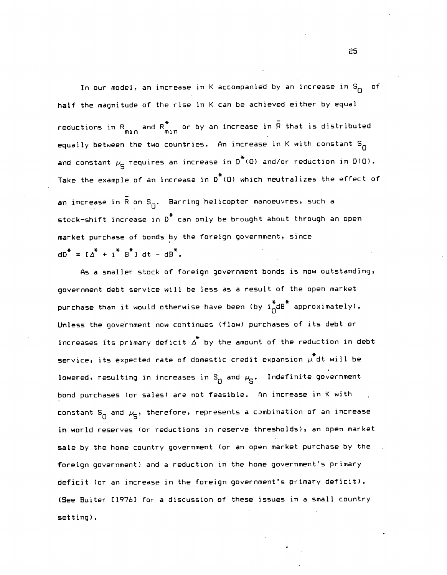In our model, an increase in K accompanied by an increase in  $S_{\Omega}$  of half the magnitude of the rise in K can be achieved either by equal reductions in  $R_{min}$  and  $R_{min}$  or by an increase in R that is distributed equally between the two countries. An increase in K with constant  $S_n$ and constant  $\mu_{\bf c}$  requires an increase in  $D^*(0)$  and/or reduction in  $D(0)$ . Take the example of an increase in  $D^*(0)$  which neutralizes the effect of an increase in  $\bar{R}$  on  $S_{\Omega}$ . Barring helicopter manoeuvres, such a stock—shift increase in D\* can only be brought about through an open market purchase of bonds by the foreign government, since  $dD^* = [ \Delta^* + i^* B^* ] dt - dB^*.$ 

As a smaller stock of foreign government bonds is now outstanding, government debt service will be less as a result of the open market purchase than it would otherwise have been (by  $i_{\Omega}^{*}$ dB $^{*}$  approximately). Unless the government now continues (flow) purchases of its debt or increases its primary deficit  $\overline{\Delta}^*$  by the amount of the reduction in debt service, its expected rate of domestic credit expansion  $\stackrel{*}{\mu}$ dt will be lowered, resulting in increases in  $S_{\overline{\Omega}}$  and  $\mu_S$ . Indefinite government bond purchases (or sales) are not feasible. An increase in K with constant  $S_n$  and  $\mu_S$ , therefore, represents a combination of an increase in world reserves (or reductions in reserve thresholds), an open market sale by the home country government (or an open market purchase by the foreign government) and a reduction in the home government's primary deficit (or an increase in the foreign government's primary deficit). (See Buiter [1976] for a discussion of these issues in a small country setting).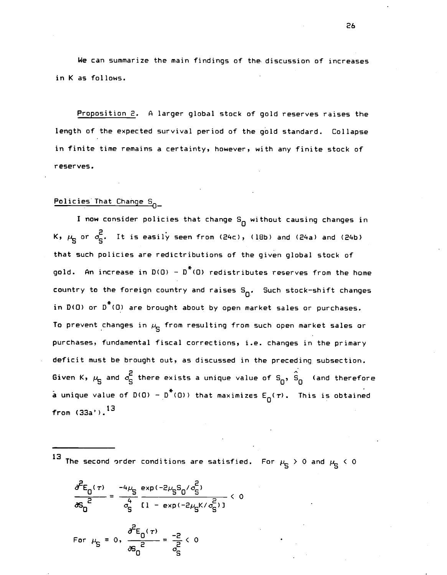We can summarize the main findings of the. discussion of increases in K as follows.

Proposition 2. A larger global stock of gold reserves raises the length of the expected survival period of the gold standard. Collapse in finite time remains a certainty, however, with any finite stock of reserves.

## Policies That Change S

I now consider policies that change  $S_{\overline{0}}$  without causing changes in K,  $\mu_S$  or  $\sigma_S^2$ . It is easily seen from (24c), (18b) and (24a) and (24b) that such policies are redictributions of the given global stock of gold. An increase in  $D(\mathbf{0}) - D^*(\mathbf{0})$  redistributes reserves from the home country to the foreign country and raises  $S_{n}$ . Such stock-shift changes in  $D(O)$  or  $D^*(O)$  are brought about by open market sales or purchases. To prevent changes in  $\mu_{\rm cr}$  from resulting from such open market sales or purchases, fundamental fiscal corrections, i.e. changes in the primary deficit must be brought out, as discussed in the preceding subsection. Given K,  $\mu_S$  and  $\sigma_S^2$  there exists a unique value of S<sub>0</sub>,  $\hat{S}_0$  (and therefore a unique value of D(O) -  $p^*(0)$ ) that maximizes  $E_n(\tau)$ . This is obtained from  $(33a')$ .  $^{13}$ 

13 The second order conditions are satisfied. For  $\mu_S > 0$  and  $\mu_S < 0$ 

$$
\frac{\partial^{2}E_{0}(\tau)}{\partial S_{0}^{2}} = \frac{-4\mu_{S}^{2}}{4} \frac{\exp(-2\mu_{S}S_{0}/\sigma_{S}^{2})}{[1 - \exp(-2\mu_{S}K/\sigma_{S}^{2})]} < 0
$$
\nFor  $\mu_{S} = 0$ ,  $\frac{\partial^{2}E_{0}(\tau)}{\partial S_{0}^{2}} = \frac{-2}{2} < 0$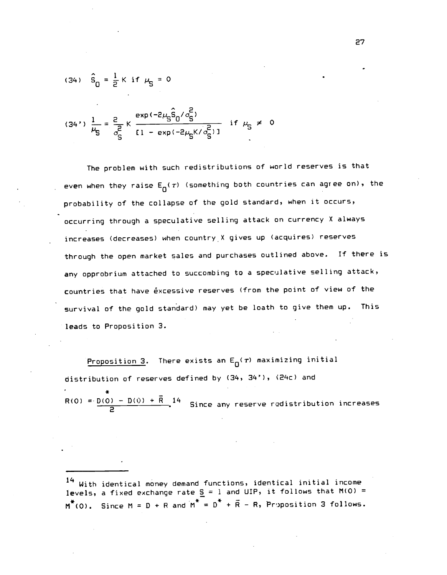(34) 
$$
\hat{S}_{0} = \frac{1}{2} K
$$
 if  $\mu_{S} = 0$ 

$$
(34')\frac{1}{\mu_{\mathsf{S}}} = \frac{2}{\sigma_{\mathsf{S}}^2} \kappa \frac{\exp(-2\mu_{\mathsf{S}}^2 \hat{\mathsf{S}}_0 / \sigma_{\mathsf{S}}^2)}{[1 - \exp(-2\mu_{\mathsf{S}}^2 / \sigma_{\mathsf{S}}^2)]} \quad \text{if } \mu_{\mathsf{S}} \neq 0
$$

The problem with such redistributions of world reserves is that even when they raise  $E_{\Omega}(\tau)$  (something both countries can agree on), the probability of the collapse of the gold standard, when it occurs, occurring through a speculative selling attack on currency X always increases (decreases) when country X gives up (acquires) reserves through the open market sales and purchases outlined above. If there is any opprobrium attached to succombing to a speculative selling attack, countries that have excessive reserves (from the point of view of the survival of the gold standard) may yet be loath to give them up. This leads to Proposition 3.

Proposition 3. There exists an  $E_{\Omega}(\tau)$  maximizing initial distribution of reserves defined by (34, 34'), '24c) and

\* R(0) =  $\frac{D(0) - D(0) + \bar{R}}{2}$  <sup>14</sup> Since any reserve redistribution increases

 $^{\mathbf{14}}$  With identical money demand functions, identical initial income levels, a fixed exchange rate  $\underline{S}$  = 1 and UIP, it follows that M(O) =  $M^*(0)$ . Since M = D + R and  $M^* = D^* + \overline{R} - R$ , Proposition 3 follows.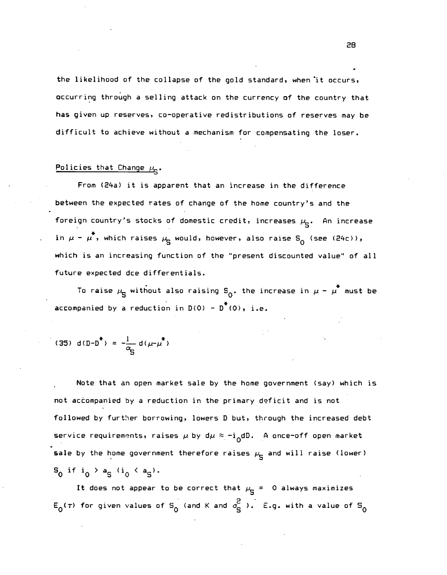the likelihood of the collapse of the gold standard, when it occurs, occurring through a selling attack on the currency of the country that has given up reserves, co-operative redistributions of reserves may be difficult to achieve without a mechanism for compensating the loser.

## Policies that Change  $\mu_c$ .

From (24a) it is apparent that an increase in the difference between the expected rates of change of the home country's and the foreign country's stocks of domestic credit, increases  $\mu_{\bf S}$ . An increase in  $\mu$  –  $\mu^*$ , which raises  $\mu_{\rm g}$  would, however, also raise S<sub>0</sub> (see (24c)), which is an increasing function of the "present discounted value" of all future expected dce differentials.

To raise  $\mu_{\bf S}$  without also raising S<sub>0</sub>. the increase in  $\mu$  -  $\mu^*$  must be accompanied by a reduction in  $D(0) - D^*(0)$ , i.e.

(35) d(D-D<sup>\*</sup>) = 
$$
-\frac{1}{\alpha_{c}}
$$
 d( $\mu-\mu^*$ )

Note that an open market sale by the home government (say) which is not accompanied by a reduction in the primary deficit and is not followed by further borrowing, lowers D but, through the increased debt service requirements, raises  $\mu$  by d $\mu \approx -i_0dD$ . A once-off open market sale by the home government therefore raises  $\mu_{\overline{S}}$  and will raise (lower)  $S_0$  if  $i_0 > a_5$  ( $i_0 < a_5$ ).

It does not appear to be correct that  $\mu_{\mathbf{q}} = 0$  always maximizes  $E_0(\tau)$  for given values of S<sub>0</sub> (and K and  $\sigma_S^2$  ). E.g. with a value of S<sub>0</sub>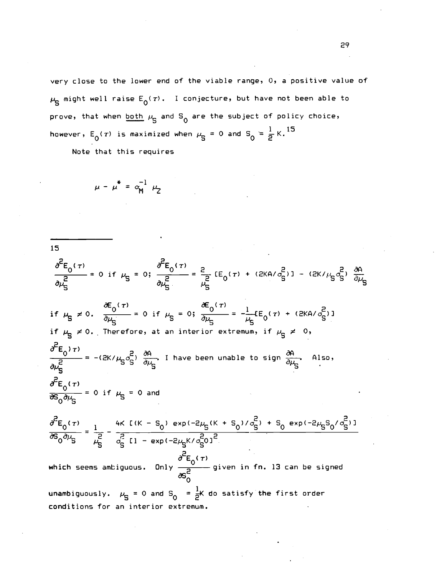very close to the lower end of the viable range, 0, a positive value of  $\mu_{\rm S}$  might well raise  $E_0(\tau)$ . I conjecture, but have not been able to prove, that when <u>both</u>  $\mu_S$  and  $S_Q$  are the subject of policy choice, however,  $E_0(\tau)$  is maximized when  $\mu_S = 0$  and  $S_0 = \frac{1}{2}K$ . <sup>15</sup>

Note that this requires

$$
\mu - \mu^* = \alpha_{\mathsf{M}}^{-1} \mu_2
$$

15  
\n
$$
\frac{\partial^2 E_0(\tau)}{\partial \mu_S^2} = 0 \text{ if } \mu_S = 0; \frac{\partial^2 E_0(\tau)}{\partial \mu_S^2} = \frac{2}{\mu_S^2} [E_0(\tau) + (2KA/\sigma_S^2)] - (2K/\mu_S \sigma_S^2) \frac{\partial A}{\partial \mu_S}
$$
\n16  
\n17  $\mu_S \neq 0$ .  $\frac{\partial E_0(\tau)}{\partial \mu_S^2} = 0$  if  $\mu_S = 0; \frac{\partial E_0(\tau)}{\partial \mu_S} = -\frac{1}{\mu_S} [E_0(\tau) + (2KA/\sigma_S^2)]$   
\n17  $\mu_S \neq 0$ . Therefore, at an interior extremum, if  $\mu_S \neq 0$ ,  
\n
$$
\frac{\partial^2 E_0(\tau)}{\partial \mu_S^2} = -(2K/\mu_S \sigma_S^2) \frac{\partial A}{\partial \mu_S}
$$
 I have been unable to sign  $\frac{\partial A}{\partial \mu_S}$  Also,  
\n
$$
\frac{\partial^2 E_0(\tau)}{\partial S_0 \partial \mu_S} = 0
$$
 if  $\mu_S = 0$  and  
\n
$$
\frac{\partial^2 E_0(\tau)}{\partial S_0 \partial \mu_S} = \frac{1}{\mu_S^2} - \frac{4K [K - S_0) exp(-2\mu_S(K + S_0)/\sigma_S^2) + S_0 exp(-2\mu_S S_0/\sigma_S^2)]}{\frac{\partial^2 E_0(\tau)}{\partial S_0 \partial \mu_S}} = \frac{1}{\mu_S^2} - \frac{4K [K - S_0) exp(-2\mu_S K/\sigma_S^2)]^2}{\sigma_S^2}
$$
  
\nwhich seems antiquous. Only  $\frac{\partial^2 E_0(\tau)}{\partial S_0^2} = 0$  given in fn. 13 can be signed  
\nunambiguously.  $\mu_S = 0$  and  $S_0 = \frac{1}{2}K$  do satisfy the first order  
\nconditions for an interior extremum.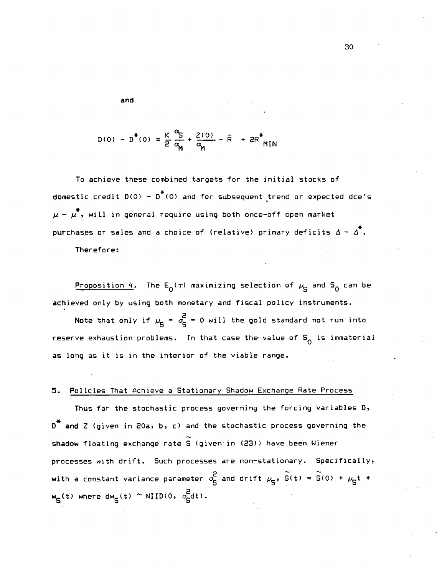and

$$
D(0) - D^*(0) = \frac{K}{2} \frac{\alpha_S}{\alpha_M} + \frac{2(0)}{\alpha_M} - \bar{R} + 2R^*_{MIN}
$$

To achieve these combined targets for the initial stocks of domestic credit  $D(0) - D^*(0)$  and for subsequent trend or expected dce's  $\mu - \mu^*$ , will in general require using both once-off open market purchases or sales and a choice of (relative) primary deficits  $\Delta - \Delta^*$ .

Therefore:

Proposition 4. The  $E_0(\tau)$  maximizing selection of  $\mu$ <sub>S</sub> and S<sub>0</sub> can be achieved only by using both monetary and fiscal policy instruments.

Note that only if  $\mu_{\overline{q}} = \sigma_{\overline{q}}^2 = 0$  will the gold standard not run into reserve exhaustion problems. In that case the value of  $S^{\dagger}_{0}$  is immaterial as long as it is in the interior of the viable range.

## 5. Policies That Achieve a Stationary Shadow Exchange Rate Process

Thus far the stochastic process governing the forcing variables D,  $D^*$  and Z (given in 20a, b, c) and the stochastic process governing the shadow floating exchange rate S (given in (23)) have been Wiener processes with drift. Such processes are non—stationary. Specifically, with a constant variance parameter  $\sigma_S^2$  and drift  $\mu_S$ ,  $\widetilde{S}(t) = \widetilde{S}(0) + \mu_S t$  +  $w_S(t)$  where d $w_S(t) \sim \text{NIID}(0, \sigma_S^2 dt)$ .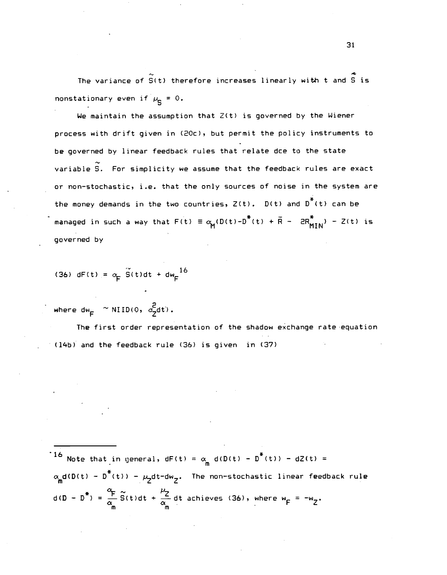The variance of  $\tilde{S}(t)$  therefore increases linearly with t and  $\tilde{S}$  is nonstationary even if  $\mu_c = 0$ .

We maintain the assumption that Z(t) is governed by the Wiener process with drift given in (2Cc), but permit the policy instruments to be governed by linear feedback rules that relate dce to the state variable S. For simplicity we assume that the feedback rules are exact or non—stochastic, i.e. that the only sources of noise in the system are the money demands in the two countries,  $Z(t)$ .  $D(t)$  and  $D^*$ (t) can be managed in such a way that  $F(t) = \alpha_M(D(t)-D^*(t) + \overline{R} - 2R_{MIN}^*) - Z(t)$  is governed by

(36) dF(t) =  $\alpha_F$  S(t)dt + dw<sub>F</sub><sup>16</sup>

where dw<sub>e</sub>  $\sim$  NIID(0,  $\sigma$ -dt).

The first order representation of the shadow exchange rate equation (14b) and the feedback rule (36) is given in (37)

<sup>16</sup> Note that in general, dF(t) =  $\alpha_m$  d(D(t) - D<sup>\*</sup>(t)) - dZ(t) =  $\alpha_{\mathbf{m}}$ d(D(t) – D $^{\text{*}}$ (t)) –  $\mu_{\mathbf{Z}}$ dt-dw $_{\mathbf{Z}}$ . The non-stochastic linear feedback rule  $d(D - D^*) = \frac{\alpha_F}{\alpha_m} \tilde{S}(t) dt + \frac{\mu_Z}{\alpha_m} dt$  achieves (36), where  $w_F = -w_Z$ .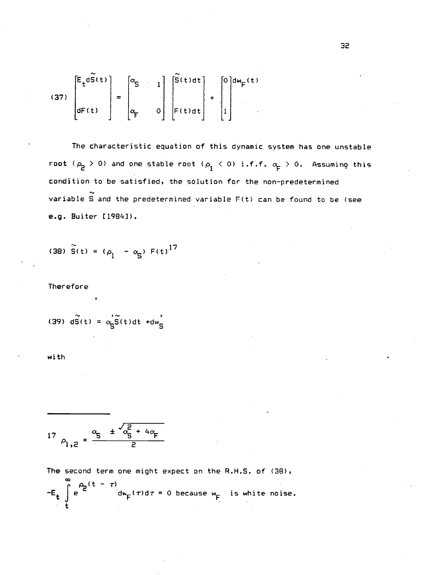(37) 
$$
\begin{bmatrix} E_t d\widetilde{S}(t) \\ dF(t) \end{bmatrix} = \begin{bmatrix} \alpha_S & 1 \\ \alpha_F & 0 \end{bmatrix} \begin{bmatrix} \widetilde{S}(t) dt \\ F(t) dt \end{bmatrix} + \begin{bmatrix} 0 \\ 1 \end{bmatrix} d w_F(t)
$$

The characteristic equation of this dynamic system has one unstable root ( $\rho_2 > 0$ ) and one stable root ( $\rho_1 < 0$ ) i.f.f.  $\alpha_{\overline{F}} > 0$ . Assuming this condition to be satisfied, the solution for the non—predetermined variable  $\tilde{S}$  and the predetermined variable  $F(t)$  can be found to be (see e.g. Buiter [1984]).

(38) 
$$
\tilde{S}(t) = (\rho_1 - \alpha_S) F(t)^{17}
$$

Therefore

$$
(39) d\widetilde{S}(t) = \alpha_S \widetilde{S}(t) dt + dw_S
$$

with

$$
17 \rho_{1,2} = \frac{\alpha_{5} + \sqrt{\alpha_{5}^{2} + 4\alpha_{F}}}{2}
$$

The second term one might expect on the R.H.S. of (38),

$$
-E_t \int_{t}^{\infty} e^{(t - \tau)} d\mathbf{w}_F(\tau) d\tau = 0
$$
 because  $\mathbf{w}_F$  is white noise.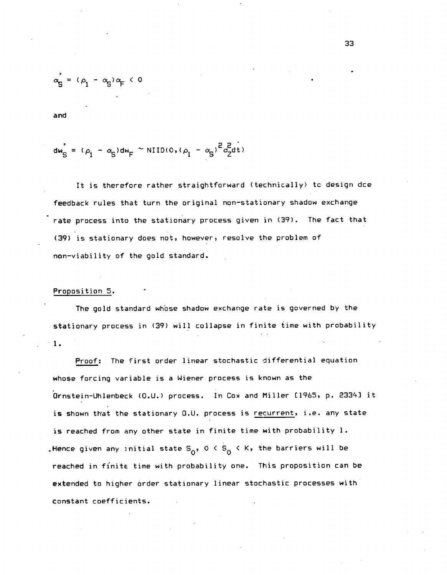$$
\alpha'_{\mathsf{S}} = (\rho_1 - \alpha_{\mathsf{S}}) \alpha_{\mathsf{F}} < 0
$$

and

$$
dw'_{S} = (\rho_1 - \alpha_S)dw_F \sim \text{NIID}(0, (\rho_1 - \alpha_S)^2 \sigma_Z^2 dt)
$$

It is therefore rather straightforward (technically) tc design dce feedback rules that turn the original non—stationary shadow exchange rate process into the stationary process given in (39). The fact that (39) is stationary does not, however, resolve the problem of non—viability of the gold standard.

#### Proposition 5.

The gold standard whose shadow exchange rate is governed by the stationary process in (39) will collapse in finite time with probability •1.

Proof: The first order linear stochastic differential equation whose forcing variable is a Wiener process is known as the Ornstein-Uhlenbeck (O.U.) process. In Cox and Miller Cl95, p. 23343 it is shown that the stationary O.U. process is recurrent, i.e. any state is reached from any other state in finite time with probability 1. . Hence given any initial state S<sub>0</sub>, 0 < S<sub>0</sub> < K, the barriers will be reached in finite time with probability one. This proposition can be extended to higher order stationary linear stochastic processes with constant coefficients.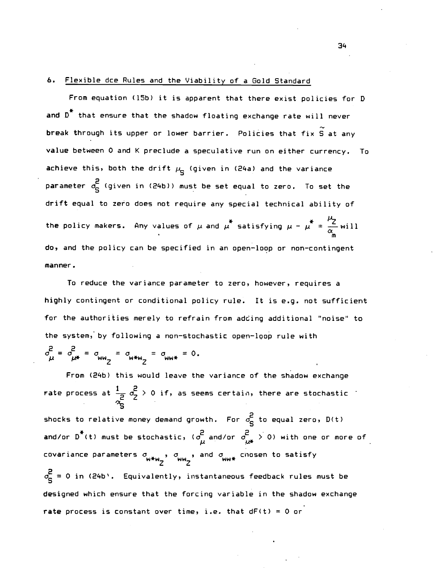### 6. Flexible dce Rules and the Viability of a Gold Standard

From equation (15b) it is apparent that there exist policies for D and  $D^*$  that ensure that the shadow floating exchange rate will never break through its upper or lower barrier. Policies that fix  $\widetilde{S}$  at any value between 0 and K preclude a speculative run on either currency. To achieve this, both the drift  $\mu_{\mathbf{q}}$  (given in (24a) and the variance parameter  $\sigma_S^2$  (given in (24b)) must be set equal to zero. To set the drift equal to zero does not require any special technical ability of the policy makers. Any values of  $\mu$  and  $\mu^*$  satisfying  $\mu - \mu^* = \frac{\mu_2}{\alpha}$  will do, and the policy can be specified in an open—loop or non—contingent manner.

To reduce the variance parameter to zero, however, requires a highly contingent or conditional policy rule. It is e.g. not sufficient for the authorities merely to refrain from adcing additional 'noise' to the system, by following a non-stochastic open-loop rule with

 $\sigma_{\mu}^{2} = \sigma_{\mu*}^{2} = \sigma_{w \mu*}^{2} = \sigma_{w \mu*}^{2} = \sigma_{w \mu*}^{2} = 0.$ 

From (24b) this would leave the variance of the shadow exchange rate process at  $\frac{1}{2}$   $\sigma^2$   $>$  0 if, as seems certain, there are stochastic shocks to relative money demand growth. For  $\sigma_{\bf q}^2$  to equal zero,  $D(t)$ and/or D (t) must be stochastic, ( $\sigma_{\mu}^2$  and/or  $\sigma_{\mu\ast}^2$   $>$  O) with one or more of covariance parameters  $\sigma_{\alpha\alpha\beta}$  ,  $\sigma_{\alpha\beta\gamma}$  , and  $\sigma_{\alpha\beta\alpha}$  chosen to satisfy  $w_2$  and  $w_*$  we endem to  $\sigma_{\rm q}^2$  = 0 in (24b). Equivalently, instantaneous feedback rules must be designed which ensure that the forcing variable in the shadow exchange rate process is constant over time, i.e. that  $dF(t) = 0$  or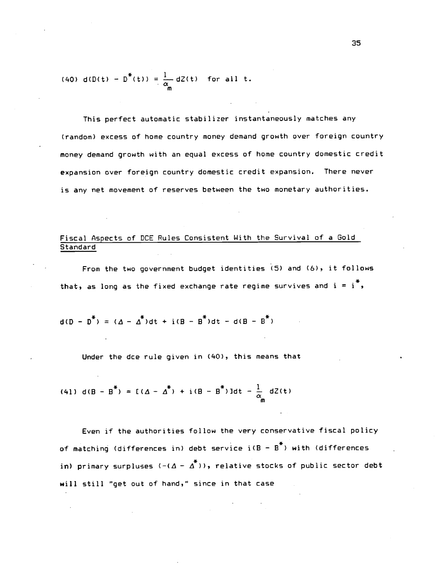(40) d(D(t) - D<sup>\*</sup>(t)) = 
$$
\frac{1}{\alpha}
$$
 dZ(t) for all t.

This perfect automatic stabilizer instantaneously matches any (random) excess of home country money demand growth over foreign country money demand growth with an equal excess of home country domestic credit expansion over foreign country domestic credit expansion. There never is any net movement of reserves between the two monetary authorities.

## Fiscal Aspects of DCE Rules Consistent With the Survival of a Gold **Standard**

From the two government budget identities (5) and (6), it follows that, as long as the fixed exchange rate regime survives and  $i = i^T$ ,

$$
d(D - D^*) = (\Delta - \Delta^*)dt + i(B - B^*)dt - d(B - B^*)
$$

Under the dce rule given in (40), this means that

(41) d(B - B<sup>\*</sup>) = 
$$
[(\Delta - \Delta^*) + i(B - B^*)]dt - \frac{1}{\alpha_m}dZ(t)
$$

Even if the authorities follow the very conservative fiscal policy of matching (differences in) debt service  $i(B - B^*)$  with (differences in) primary surpluses  $(-(\Delta - \Delta^*))$ , relative stocks of public sector debt will still "get out of hand," since in that case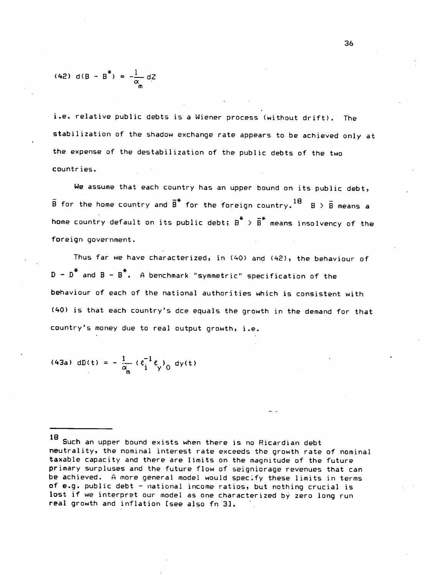(42) d(B - B<sup>\*</sup>) = 
$$
-\frac{1}{\alpha_m}
$$
 dZ

i.e. relative public debts is a Wiener process (without drift). The stabilization of the shadow exchange rate appears to be achieved only at the expense of the destabilization of the public debts of the two countries.

We assume that each country has an upper bound on its public debt,  $\bar{\text{B}}$  for the home country and  $\bar{\text{B}}^*$  for the foreign country.  $^{18}$  B  $>$  B means a home country default on its public debt;  $B^*$  >  $\overline{B}^*$  means insolvency of the foreign government.

Thus far we have characterized, in (40) and (42), the behaviour of  $D - D^*$  and  $B - B^*$ . A benchmark "symmetric" specification of the behaviour of each of the national authorities which is consistent with (40) is that each country's dce equals the growth in the demand for that country's money due to real output growth, i.e.

(43a) 
$$
dD(t) = -\frac{1}{\alpha_m} (e_i^{-1} e_y)_0 dy(t)
$$

<sup>18</sup> Such an upper bound exists when there is no Ricardian debt neutrality, the nominal interest rate exceeds the growth rate of nominal taxable capacity and there are limits on the magnitude of the future primary surpluses and the future flow of seigniorage revenues that can be achieved. A more general model would specify these limits in terms of e.g. public debt — national income ratios, but nothing crucial is lost if we interpret our model as one characterized by zero long run real growth and inflation [see also fn3].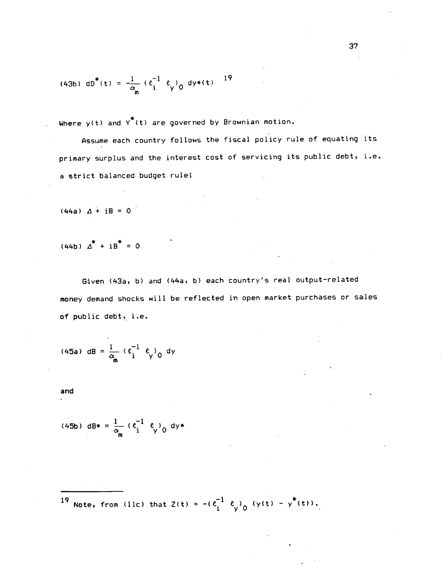(43b) 
$$
dB^*(t) = -\frac{1}{\alpha_m} (e_i^{-1} e_y)_0 dy * (t)
$$
<sup>19</sup>

Where  $y(t)$  and  $Y^*(t)$  are governed by Brownian motion.

A5sume each country follows the fiscal policy rule of equating its primary surplus and the interest cost of servicing its public debt, i.e. a strict balanced budget rule;

 $(44a)$   $\Delta + iB = 0$ 

 $(44b)$   $\Delta^*$  + iB<sup>\*</sup> = 0

Given (43a, b) and (44a, b) each country's real output-related money demand shocks will be reflected in open market purchases or sales of public debt, i.e.

(45a) dB = 
$$
\frac{1}{\alpha_{\text{m}}}
$$
  $(\epsilon_{i}^{-1} \epsilon_{y})_{0}$  dy

and

(45b) dB\* = 
$$
\frac{1}{\alpha_m}
$$
 ( $\epsilon_i^{-1}$   $\epsilon_y$ )<sub>0</sub> dy\*

19 Note, from (llc) that  $Z(t) = -(e_i^{-1} e_y)_{0} (y(t) - y^{*}(t))$ .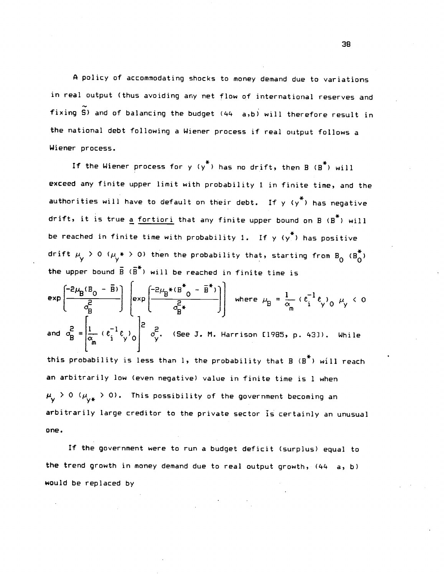A policy of accommodating shocks to money demand due to variations in real output (thus avoiding any net flow of international reserves and fixing S) and of balancing the budget (44 a,b) will therefore result in the national debt following a Wiener process if real output follows a Wiener process.

If the Wiener process for  $y$   $(y^*)$  has no drift, then  $B$   $(B^*)$  will exceed any finite upper limit with probability 1 in finite time, and the authorities will have to default on their debt. If  $y$   $(y^*)$  has negative drift, it is true a fortiori that any finite upper bound on  $B$  ( $B^*$ ) will be reached in finite time with probability 1. If  $y$   $(y^*)$  has positive drift  $\mu_{\mathsf{y}} > 0$  ( $\mu_{\mathsf{y}} * > 0$ ) then the probability that, starting from B<sub>0</sub> (B<sub>0</sub>) the upper bound  $\overline{B}$  ( $\overline{B}^*$ ) will be reached in finite time is

$$
\exp\left(\frac{-2\mu_{B}(B_{0}-\bar{B})}{\sigma_{B}^{2}}\right) \left(\exp\left(\frac{-2\mu_{B}*(B^{*}-\bar{B}^{*})}{\sigma_{B}^{2}}\right)\right) \text{ where } \mu_{B} = \frac{1}{\alpha_{m}} \left(\epsilon_{i}^{-1}\epsilon_{y}\right)_{0} \mu_{y} < 0
$$
  
and 
$$
\sigma_{B}^{2} = \left[\frac{1}{\alpha_{m}} \left(\epsilon_{i}^{-1}\epsilon_{y}\right)_{0}\right]^{2} \sigma_{y}^{2}.
$$
 (See J. M. Harrison [1985, p. 43]). While

this probability is less than 1, the probability that  $B$  ( $B^*$ ) will reach an arbitrarily low (even negative) value in finite time is 1 when  $\mu_{\mathsf{v}}$  > 0  $(\mu_{\mathsf{v}\#}$  > 0). This possibility of the government becoming an arbitrarily large creditor to the private sector is certainly an unusual one.

If the government were to run a budget deficit (surplus) equal to the trend growth in money demand due to real output growth, (44 a, b) would be replaced by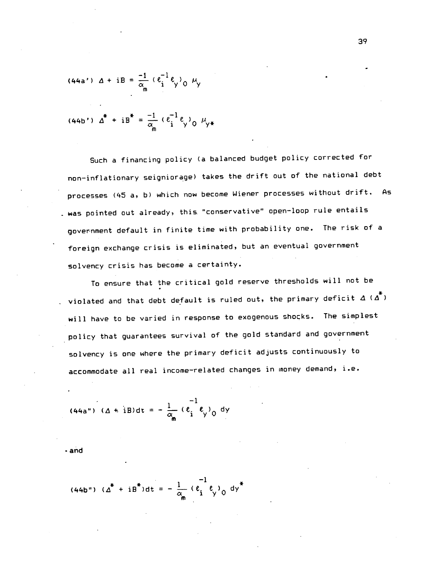(44a') 
$$
\Delta + iB = \frac{-1}{\alpha_m} (e_i^{-1} e_y)_0 \mu_y
$$

(44b') 
$$
\Delta^* + iB^* = \frac{-1}{\alpha_m} (e_i^{-1}e_y)_0 \mu_{y*}
$$

Such a financing policy (a balanced budget policy corrected for non—inflationary seigniorage) takes the drift out of the national debt processes (45 a, b) which now become Wiener processes without drift. As . was pointed out already, this "conservative" open-loop rule entails government default in finite time with probability one. The risk of a foreign exchange crisis is eliminated, but an eventual government solvency crisis has become a certainty.

To ensure that the critical gold reserve thresholds will not be violated and that debt default is ruled out, the primary deficit  $\Delta$  ( $\Delta^*$ ) will have to be varied in response to exogenous shocks. The simplest policy that guarantees survival of the gold standard and government solvency is one where the primary deficit adjusts continuously to accommodate all real income—related changes in money demand, i.e.

(44a") 
$$
(\Delta + iB)dt = -\frac{1}{\alpha_m} (e_i^{-1}e_y)_0 dy
$$

• and

(44b") 
$$
(\Delta^* + iB^*)dt = -\frac{1}{\alpha_m} (e_i^0 e_j)_{0} dy^*
$$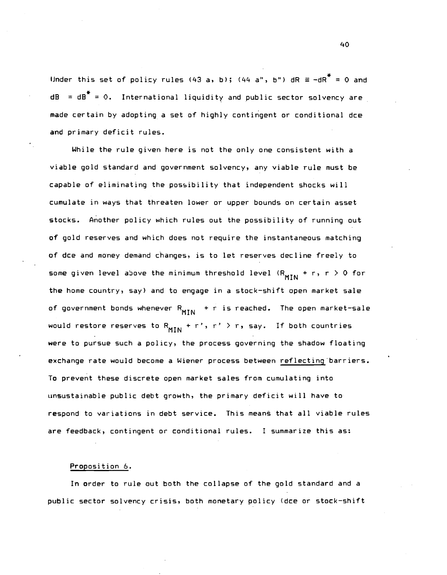Under this set of policy rules (43 a, b); (44 a", b") dR  $\equiv$  -dR<sup>\*</sup> = 0 and  $dB = dB^* = 0$ . International liquidity and public sector solvency are made certain by adopting a set of highly contingent or conditional dce and primary deficit rules.

While the rule given here is not the only one consistent with a viable gold standard and government solvency, any viable rule must be capable of eliminating the posibility that independent shocks will cumulate in ways that threaten lower or upper bounds on certain asset stocks. Another policy which rules out the possibility of running out of gold reserves and which does not require the instantaneous matching of dce and money demand changes, is to let reserves decline freely to some given level above the minimum threshold level  $(R_{MIN} + r, r > 0$  for the home country, say) and to engage in a stock—shift open market sale of government bonds whenever  $R_{MIM}$  + r is reached. The open market-sale would restore reserves to  $R_{MIN}$  + r', r' > r, say. If both countries were to pursue such a policy, the process governing the shadow floating exchange rate would become a Wiener process between reflecting barriers. To prevent these discrete open market sales from cumulating into unsustainable public debt growth, the primary deficit will have to respond to variations in debt service. This means that all viable rules are feedback, contingent or conditional rules. I summarize this as:

#### Proposition 6.

In order to rule out both the collapse of the gold standard and a public sector solvency crisis, both monetary policy (dce or stock—shift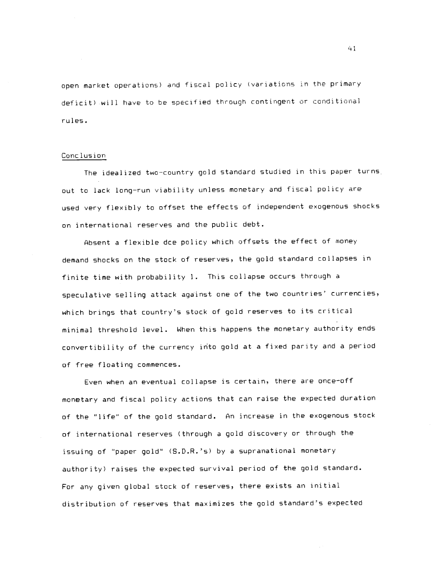open market operations) and fiscal policy (variations in the primary deficit) will have to be specified through contingent or conditional r u I es.

### Cone lus ion

The idealized two—country gold standard studied in this paper turns. out to lack long—run viability unless monetary and fiscal policy are used very flexibly to offset the effects of independent exogenous shocks on international reserves and the public debt.

Absent a flexible dee policy which offsets the effect of money demand shocks on the stock of reserves, the gold standard collapses in finite time with probability 1. This collapse occurs through a speculative selling attack against one of the two countries' currencies, which brings that country's stock of gold reserves to its critical minimal threshold level. 4hen this happens the monetary authority ends convertibility of the currency into gold at a fixed parity and a period of free floating commences.

Even when an eventual collapse is certain, there are once-off monetary and fiscal policy actions that can raise the expected duration of the "life" of the gold standard. An increase in the exogenous stock of international reserves (through a gold discovery or through the issuing of 'paper gold" (S.D.R.'s) by a supranational monetary authority) raises the expected survival period of the gold standard. For any given global stock of reserves, there exists an initial distribution of reserves that maximizes the gold standard's expected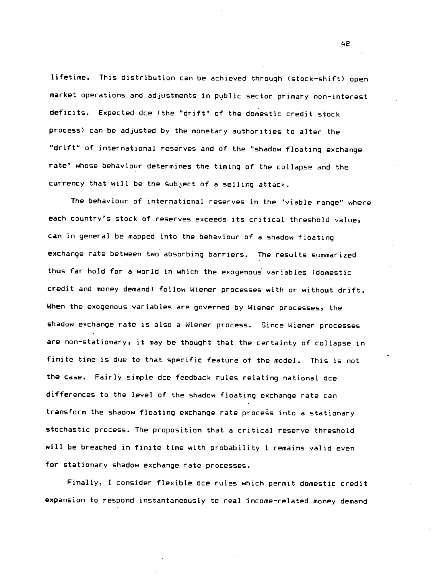lifetime. This distribution can be achieved through (stock—shift) open market operations and adjustments in public sector primary non—interest deficits. Expected dce (the 'drift" of the domestic credit stock process) can be adjusted by the monetary authorities to alter the "drift" of international reserves and of the "shadow floating exchange rate" whose behaviour determines the timing of the collapse and the currency that will be the subject of a selling attack.

The behaviour of international reserves in the "viable range" where each country's stock of reserves exceeds its critical threshold value, can in general be mapped into the behaviour of a shadow floating exchange rate between two absorbing barriers. The results summarized thus far hold for a world in which the exogenous variables (domestic credit and money demand) follow Wiener processes with or without drift. When the exogenous variables are governed by Wiener processes, the shadow exchange rate is also a Wiener process. Since Wiener processes are non—stationary, it may be thought that the certainty of collapse in finite time is due to that specific feature of the model. This is not the case. Fairly simple dce feedback rules relating national dce differences to the level of the shadow floating exchange rate can transform the shadow floating exchange rate process into a stationary stochastic process. The proposition that a critical reserve threshold will be breached in finite time with probability 1 remains valid even for stationary shadow exchange rate processes.

Finally, I consider flexible dce rules which permit domestic credit expansion to respond instantaneously to real income—related money demand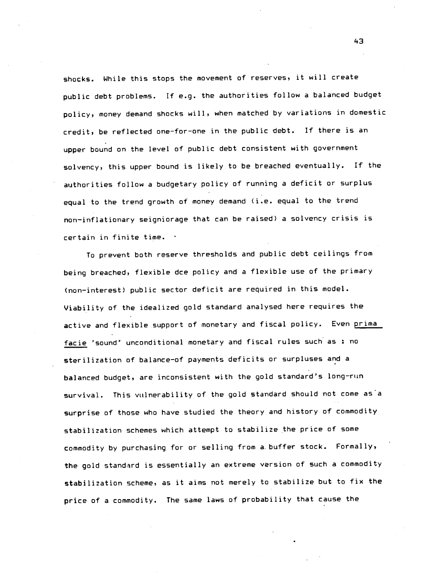shocks. While this stops the movement of reserves, it will create public debt problems. If e.g. the authorities follow a balanced budget policy, money demand shocks will, when matched by variations in domestic credit, be reflected one-for-one in the public debt. If there is an upper bound on the level of public debt consistent with government solvency, this upper bound is likely to be breached eventually. If the authorities follow a budgetary policy of running a deficit or surplus equal to the trend growth of money demand (i.e. equal to the trend non—inflationary seigniorage that can be raised) a solvency crisis is certain in finite time.

To prevent both reserve thresholds and public debt ceilings from being breached, flexible dce policy and a flexible use of the primary (non—interest) public sector deficit are required in this model. Viability of the idealized gold standard analysed here requires the active and flexible support of monetary and fiscal policy. Even prima facie 'sound' unconditional monetary and fiscal rules such as : no sterilization of balance—of payments deficits or surpluses and a balanced budget, are inconsistent with the gold standard's long—run survival. This vulnerability of the gold standard should not come as a surprise of those who have studied the theory and history of commodity stabilization schemes which attempt to stabilize the price of some commodity by purchasing for or selling from a. buffer stock. Formally, the gold standard is essentially an extreme version of such a commodity stabilization scheme, as it aims not merely to stabilize but to fix the price of a commodity. The same laws of probability that cause the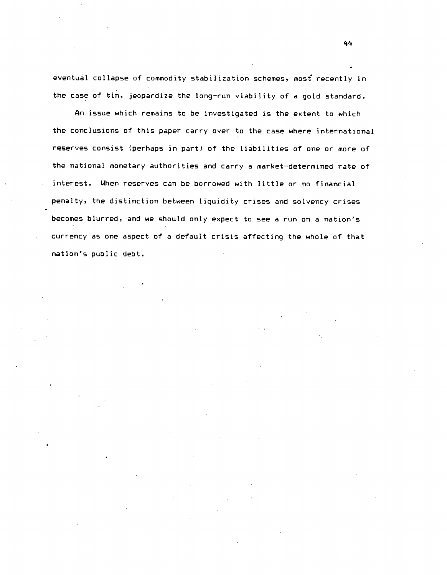eventual collapse of commodity stabilization schemes, most recently in the case of tin, jeopardize the long-run viability of a gold standard.

An issue which remains to be investigated is the extent to which the conclusions of this paper carry over to the case where international reserves consist (perhaps in part) of the liabilities of one or more of the national monetary authorities and carry a market—determined rate of interest. When reserves can be borrowed with little or no financial penalty, the distinction between liquidity crises and solvency crises becomes blurred, and we should only expect to see a run on a nation's currency as one aspect of a default crisis affecting the whole of that nation's public debt.

4,4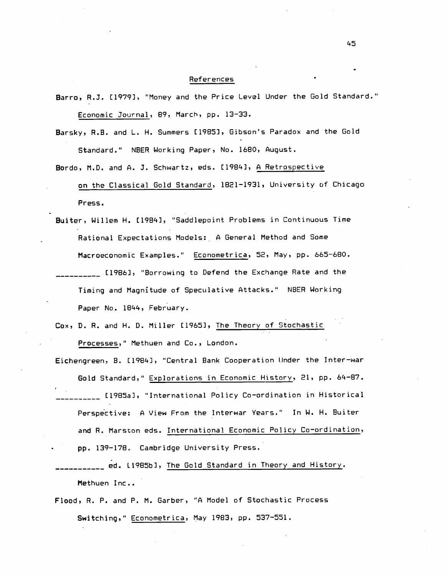## **References**

- Barro, R.J. [1979], "Money and the Price Level Under the Gold Standard." Economic Journal, 89, March, pp. 13—33.
- Barsky, R.B. and L. H. Summers £1985), Gibson's Paradox and the Gold Standard." NBER Working Paper, No. 1680, August.
- Bordo, M.D. and A. J. Schwartz, eds. £1984], A Retrospective on the Classical Gold Standard, 1821—1931, University of Chicago Press.
- Buiter, Willem H. [1984], "Saddlepoint Problems in Continuous Time Rational Expectations Models: A General Method and Some Macroeconomic Examples." Econometrica, 52, May, pp. 665—680. [1986], "Borrowing to Defend the Exchange Rate and the Timing and Magnitude of Speculative Attacks." NBER Working Paper No. 1844, February.
- Cox, D. R. and H. D. Miller [1965], The Theory of Stochastic Processes," Methuen and Co., London.
- Eichengreen, B. [1984], "Central Bank Cooperation tinder the Inter—war Gold Standard," Explorations in Economic History, 21, pp. 64—87. E1985a), "International Policy Co—ordination in Historical Perspective: A View From the Interwar Years." In W. H. Buiter and R. Marston eds. International Economic Policy Co-ordination, pp. 139—178. Cambridge University Press.
- ed. 11985b), The Gold Standard in Theory and History. Methuen Inc..
- Flood, R. P. and P. M. Garber, "A Model of Stochastic Process Switching," Econometrica, May 1983, pp. 537-551.